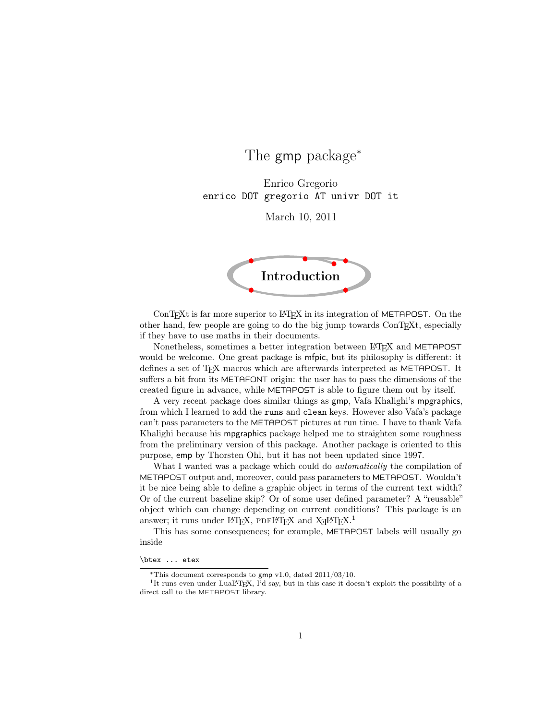# The gmp package<sup>∗</sup>

Enrico Gregorio enrico DOT gregorio AT univr DOT it

March 10, 2011



ConTEXt is far more superior to LATEX in its integration of METAPOST. On the other hand, few people are going to do the big jump towards ConTEXt, especially if they have to use maths in their documents.

Nonetheless, sometimes a better integration between LAT<sub>EX</sub> and METAPOST would be welcome. One great package is mfpic, but its philosophy is different: it defines a set of T<sub>E</sub>X macros which are afterwards interpreted as METAPOST. It suffers a bit from its METAFONT origin: the user has to pass the dimensions of the created figure in advance, while METAPOST is able to figure them out by itself.

A very recent package does similar things as gmp, Vafa Khalighi's mpgraphics, from which I learned to add the runs and clean keys. However also Vafa's package can't pass parameters to the METAPOST pictures at run time. I have to thank Vafa Khalighi because his mpgraphics package helped me to straighten some roughness from the preliminary version of this package. Another package is oriented to this purpose, emp by Thorsten Ohl, but it has not been updated since 1997.

What I wanted was a package which could do *automatically* the compilation of METAPOST output and, moreover, could pass parameters to METAPOST. Wouldn't it be nice being able to define a graphic object in terms of the current text width? Or of the current baseline skip? Or of some user defined parameter? A "reusable" object which can change depending on current conditions? This package is an answer; it runs under LATEX, PDFLATEX and XqLATEX.<sup>1</sup>

This has some consequences; for example, METAPOST labels will usually go inside

#### \btex ... etex

<sup>∗</sup>This document corresponds to gmp v1.0, dated 2011/03/10.

<sup>&</sup>lt;sup>1</sup>It runs even under LuaL<sup>AT</sup>EX, I'd say, but in this case it doesn't exploit the possibility of a direct call to the METAPOST library.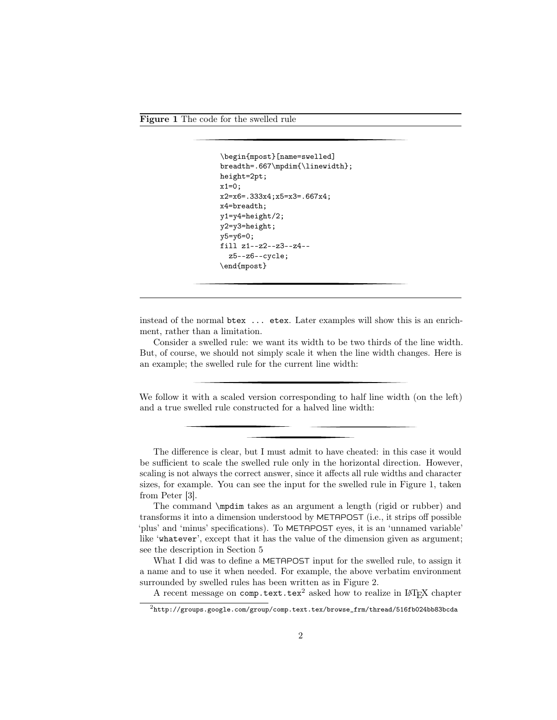Figure 1 The code for the swelled rule

```
\begin{mpost}[name=swelled]
breadth=.667\mpdim{\linewidth};
height=2pt;
x1=0;x2=x6=.333x4;x5=x3=.667x4;
x4=breadth;
y1=y4=height/2;
y2=y3=height;
y5=y6=0;
fill z1--z2--z3--z4--
  z5--z6--cycle;
\end{mpost}
```
instead of the normal btex ... etex. Later examples will show this is an enrichment, rather than a limitation.

Consider a swelled rule: we want its width to be two thirds of the line width. But, of course, we should not simply scale it when the line width changes. Here is an example; the swelled rule for the current line width:

We follow it with a scaled version corresponding to half line width (on the left) and a true swelled rule constructed for a halved line width:

The difference is clear, but I must admit to have cheated: in this case it would be sufficient to scale the swelled rule only in the horizontal direction. However, scaling is not always the correct answer, since it affects all rule widths and character sizes, for example. You can see the input for the swelled rule in Figure 1, taken from Peter [3].

What I did was to define a METAPOST input for the swelled rule, to assign it a name and to use it when needed. For example, the above verbatim environment surrounded by swelled rules has been written as in Figure 2.

A recent message on comp.text.tex<sup>2</sup> asked how to realize in LAT<sub>EX</sub> chapter

The command \mpdim takes as an argument a length (rigid or rubber) and transforms it into a dimension understood by METAPOST (i.e., it strips off possible 'plus' and 'minus' specifications). To METAPOST eyes, it is an 'unnamed variable' like 'whatever', except that it has the value of the dimension given as argument; see the description in Section 5

 $^2$ http://groups.google.com/group/comp.text.tex/browse\_frm/thread/516fb024bb83bcda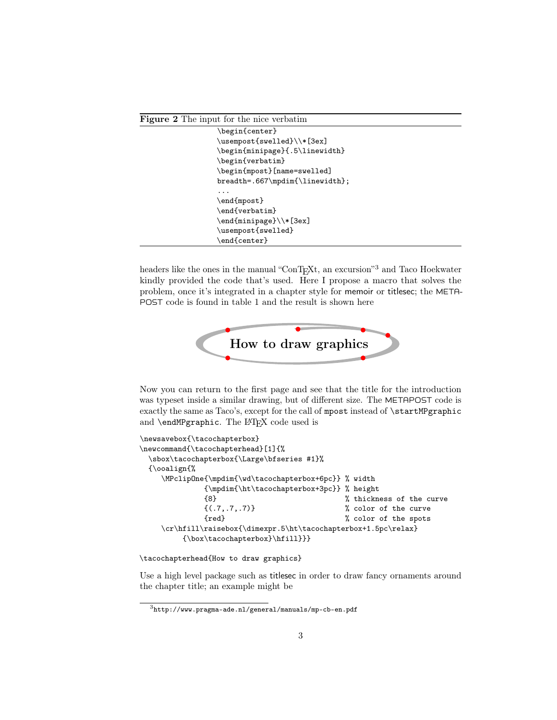Figure 2 The input for the nice verbatim

| \begin{center}                  |
|---------------------------------|
| \usempost{swelled}\\*[3ex]      |
| \begin{minipage}{.5\linewidth}  |
| \begin{verbatim}                |
| \begin{mpost}[name=swelled]     |
| breadth=.667\mpdim{\linewidth}; |
|                                 |
| \end{mpost}                     |
| \end{verbatim}                  |
| \end{minipage}\\*[3ex]          |
| \usempost{swelled}              |
| \end{center}                    |
|                                 |

headers like the ones in the manual "ConTEXt, an excursion"<sup>3</sup> and Taco Hoekwater kindly provided the code that's used. Here I propose a macro that solves the problem, once it's integrated in a chapter style for memoir or titlesec; the META-POST code is found in table 1 and the result is shown here



Now you can return to the first page and see that the title for the introduction was typeset inside a similar drawing, but of different size. The METAPOST code is exactly the same as Taco's, except for the call of mpost instead of \startMPgraphic and \endMPgraphic. The LATFX code used is

```
\newsavebox{\tacochapterbox}
\newcommand{\tacochapterhead}[1]{%
 \sbox\tacochapterbox{\Large\bfseries #1}%
 {\ooalign{%
    \MPclipOne{\mpdim{\wd\tacochapterbox+6pc}} % width
            {\mpdim{\ht\tacochapterbox+3pc}} % height
            {8} % thickness of the curve
            {(.7,.7,.7)} % color of the curve
            {red} % color of the spots
    \cr\hfill\raisebox{\dimexpr.5\ht\tacochapterbox+1.5pc\relax}
        {\box\tacochapterbox}\hfill}}}
```
\tacochapterhead{How to draw graphics}

Use a high level package such as titlesec in order to draw fancy ornaments around the chapter title; an example might be

<sup>3</sup>http://www.pragma-ade.nl/general/manuals/mp-cb-en.pdf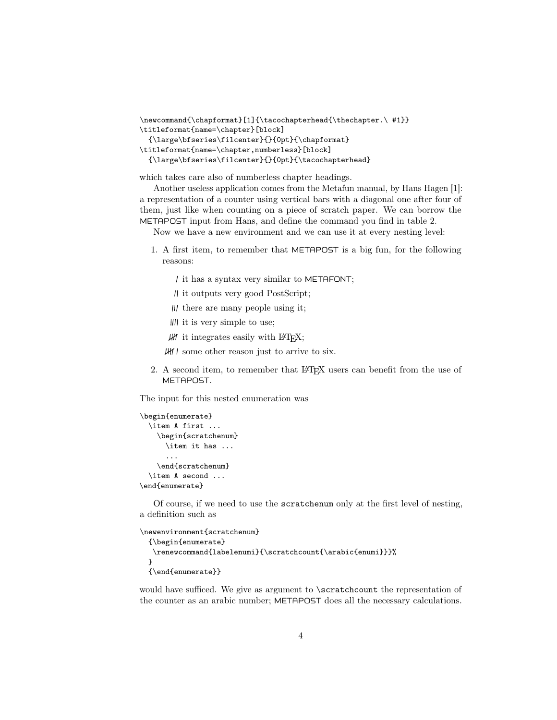```
\newcommand{\chapformat}[1]{\tacochapterhead{\thechapter.\ #1}}
\titleformat{name=\chapter}[block]
  {\large\bfseries\filcenter}{}{0pt}{\chapformat}
\titleformat{name=\chapter,numberless}[block]
  {\large\bfseries\filcenter}{}{0pt}{\tacochapterhead}
```
which takes care also of numberless chapter headings.

Another useless application comes from the Metafun manual, by Hans Hagen [1]: a representation of a counter using vertical bars with a diagonal one after four of them, just like when counting on a piece of scratch paper. We can borrow the METAPOST input from Hans, and define the command you find in table 2.

Now we have a new environment and we can use it at every nesting level:

- 1. A first item, to remember that METAPOST is a big fun, for the following reasons:
	- it has a syntax very similar to METAFONT;
	- it outputs very good PostScript;
	- $||$  there are many people using it;
	- IIII it is very simple to use;
	- $\mathcal{H}$  it integrates easily with  $\mathcal{B}T\mathcal{F}X$ ;

some other reason just to arrive to six.

2. A second item, to remember that LAT<sub>EX</sub> users can benefit from the use of METAPOST.

The input for this nested enumeration was

```
\begin{enumerate}
  \item A first ...
    \begin{scratchenum}
      \item it has ...
      ...
    \end{scratchenum}
  \item A second ...
\end{enumerate}
```
Of course, if we need to use the scratchenum only at the first level of nesting, a definition such as

```
\newenvironment{scratchenum}
  {\begin{enumerate}
   \renewcommand{labelenumi}{\scratchcount{\arabic{enumi}}}%
  }
  \{\end{label}|
```
would have sufficed. We give as argument to \scratchcount the representation of the counter as an arabic number; METAPOST does all the necessary calculations.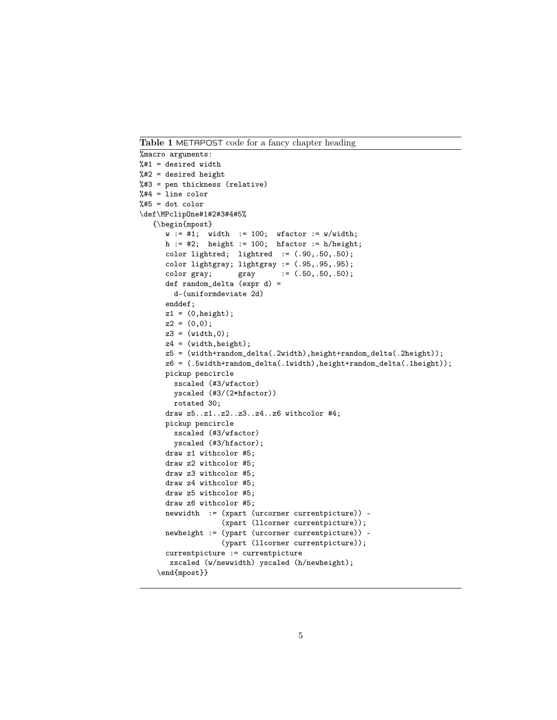Table 1 METAPOST code for a fancy chapter heading

```
%macro arguments:
%#1 = desired width%#2 = desired height%#3 = pen thickness (relative)
%#4 = line color%#5 = dot color\def\MPclipOne#1#2#3#4#5%
   {\begin{mpost}
      w := #1; width := 100; wfactor := w/width;
      h := #2; height := 100; hfactor := h/height;
      color lightred; lightred := (.90, .50, .50);color lightgray; lightgray := (.95, .95, .95);<br>color gray; gray := (.50, .50, .50);
      color gray; \text{gray} := (.50, .50, .50);
      def random_delta (expr d) =
        d-(uniformdeviate 2d)
      enddef;
      z1 = (0, height);z2 = (0,0);z3 = (width, 0);z4 = (width,height);
      z5 = (width+random_delta(.2width),height+random_delta(.2height));
      z6 = (.5width+random_delta(.1width),height+random_delta(.1height));
      pickup pencircle
        xscaled (#3/wfactor)
        yscaled (#3/(2*hfactor))
        rotated 30;
      draw z5..z1..z2..z3..z4..z6 withcolor #4;
      pickup pencircle
        xscaled (#3/wfactor)
        yscaled (#3/hfactor);
      draw z1 withcolor #5;
      draw z2 withcolor #5;
      draw z3 withcolor #5;
      draw z4 withcolor #5;
      draw z5 withcolor #5;
      draw z6 withcolor #5;
      newwidth := (xpart (urcorner currentpicture)) -
                    (xpart (llcorner currentpicture));
      newheight := (ypart (urcorner currentpicture)) -
                    (ypart (llcorner currentpicture));
      currentpicture := currentpicture
       xscaled (w/newwidth) yscaled (h/newheight);
    \end{mpost}}
```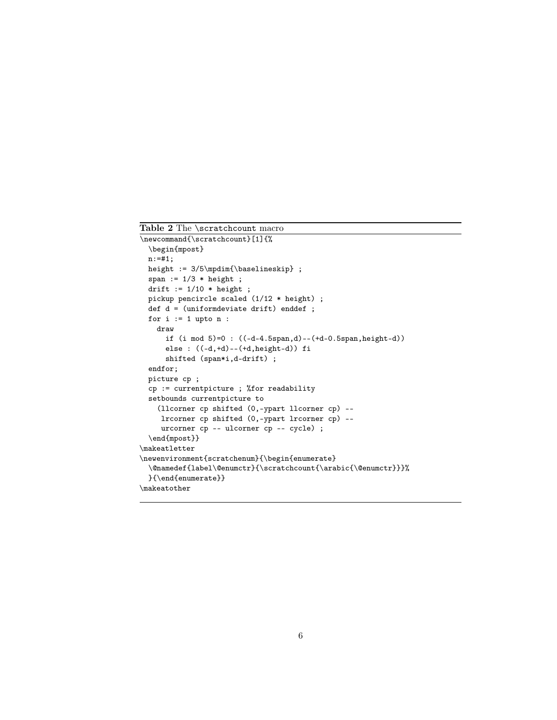```
Table 2 The \scratchcount macro
\newcommand{\scratchcount}[1]{%
  \begin{mpost}
 n:=#1;
 height := 3/5\mpdim{\baselineskip} ;
  span := 1/3 * height ;
 drift := 1/10 * height;
 pickup pencircle scaled (1/12 * height) ;
 def d = (uniformdeviate drift) enddef ;
 for i := 1 upto n :draw
     if (i mod 5)=0 : ((-d-4.5span,d)--(+d-0.5span,height-d))
     else : ((-d,+d)--(+d,height-d)) fi
     shifted (span*i,d-drift) ;
  endfor;
 picture cp ;
 cp := currentpicture ; %for readability
  setbounds currentpicture to
    (llcorner cp shifted (0,-ypart llcorner cp) --
    lrcorner cp shifted (0,-ypart lrcorner cp) --
    urcorner cp -- ulcorner cp -- cycle) ;
  \end{mpost}}
\makeatletter
\newenvironment{scratchenum}{\begin{enumerate}
  \@namedef{label\@enumctr}{\scratchcount{\arabic{\@enumctr}}}%
 }{\end{enumerate}}
\makeatother
```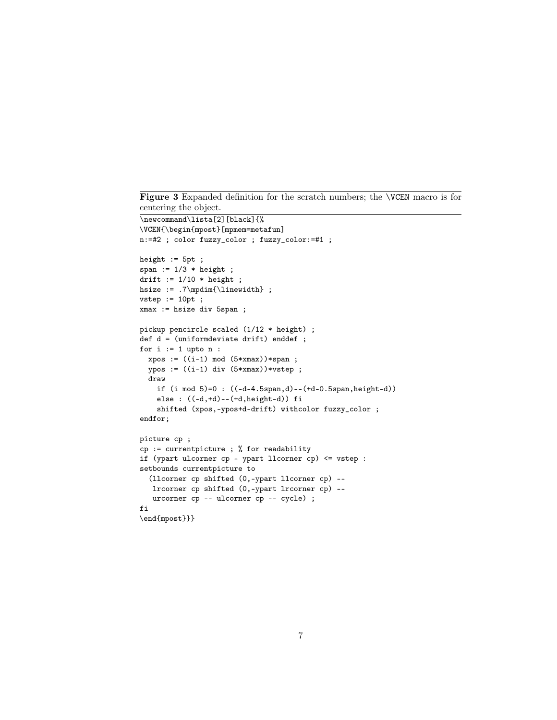Figure 3 Expanded definition for the scratch numbers; the **\VCEN** macro is for centering the object.

```
\newcommand\lista[2][black]{%
\VCEN{\begin{mpost}[mpmem=metafun]
n:=#2 ; color fuzzy_color ; fuzzy_color:=#1 ;
height := 5pt;
span := 1/3 * height ;
drift := 1/10 * height;
hsize := .7\mpdim{\linewidth} ;
vstep := 10pt ;xmax := hsize div 5span ;
pickup pencircle scaled (1/12 * height) ;
def d = (uniformdeviate drift) enddef ;
for i := 1 upto n :xpos := ((i-1) mod (5*xmax))*span ;ypos := ((i-1) div (5*xmax))*vstep ;draw
    if (i mod 5)=0 : ((-d-4.5span,d)--(+d-0.5span,height-d))
    else : ((-d,+d)--(+d,height-d)) fi
    shifted (xpos,-ypos+d-drift) withcolor fuzzy_color ;
endfor;
picture cp ;
cp := currentpicture ; % for readability
if (ypart ulcorner cp - ypart llcorner cp) <= vstep :
setbounds currentpicture to
  (llcorner cp shifted (0,-ypart llcorner cp) --
   lrcorner cp shifted (0,-ypart lrcorner cp) --
   urcorner cp -- ulcorner cp -- cycle) ;
fi
\end{mpost}}}
```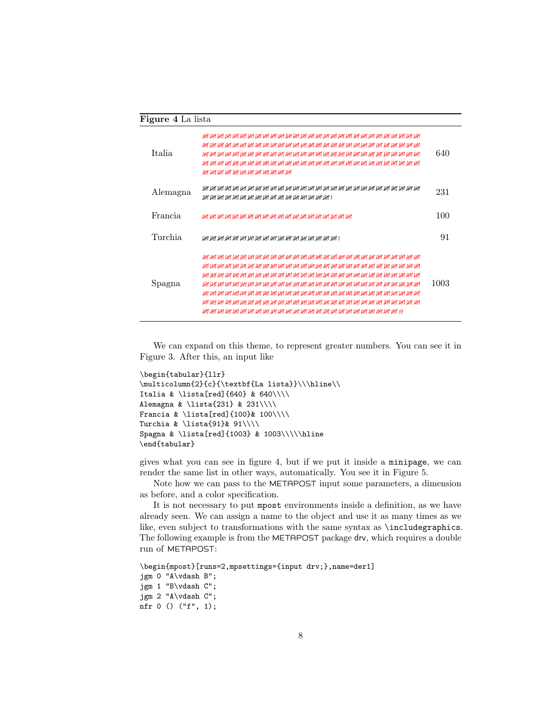| <b>Figure 4</b> La lista |                                        |      |
|--------------------------|----------------------------------------|------|
| Italia.                  | ur ur ur hr ur ur ur ur ur ur ur ur ur | 640  |
| Alemagna                 |                                        | 231  |
| <b>Francia</b>           |                                        | 100  |
| Turchia                  |                                        | 91   |
| Spagna                   |                                        | 1003 |

We can expand on this theme, to represent greater numbers. You can see it in Figure 3. After this, an input like

```
\begin{tabular}{llr}
\mathcal{2}{c}{\textbf{La lista}}\\\hline\\Italia & \lista[red]{640} & 640\\\\
Alemagna & \lista{231} & 231\\\\
Francia & \lista[red]{100}& 100\\\\
Turchia & \lista{91}& 91\\\\
Spagna & \lista[red]{1003} & 1003\\\\\hline
\end{tabular}
```
gives what you can see in figure 4, but if we put it inside a minipage, we can render the same list in other ways, automatically. You see it in Figure 5.

Note how we can pass to the METAPOST input some parameters, a dimension as before, and a color specification.

It is not necessary to put mpost environments inside a definition, as we have already seen. We can assign a name to the object and use it as many times as we like, even subject to transformations with the same syntax as \includegraphics. The following example is from the METAPOST package drv, which requires a double run of METAPOST:

```
\begin{mpost}[runs=2,mpsettings={input drv;},name=der1]
jgm 0 "A\vdash B";
jgm 1 "B\vdash C";
jgm 2 "A\vdash C";
nfr 0 () ("f", 1);
```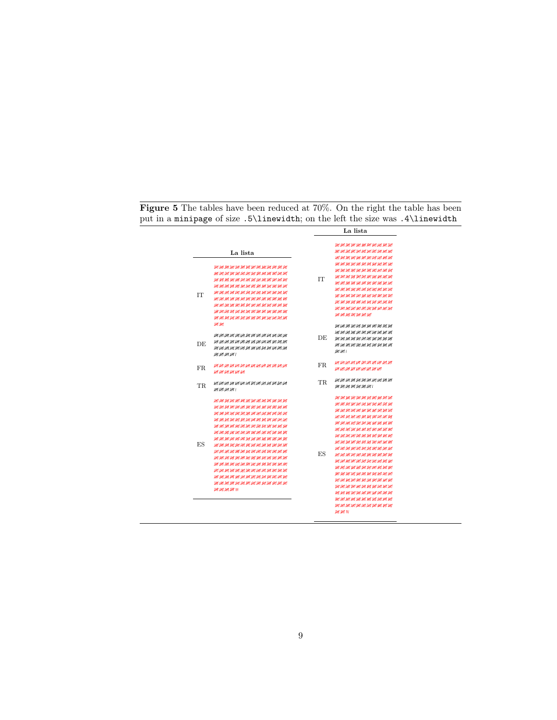Figure 5 The tables have been reduced at 70%. On the right the table has been put in a minipage of size .5\linewidth; on the left the size was .4\linewidth

|                                   |                                                                                                                                                                                                                                                                                                                   | La lista |                                                                                                                                                                                                                                                                                                                                                                                                                                                                                                   |
|-----------------------------------|-------------------------------------------------------------------------------------------------------------------------------------------------------------------------------------------------------------------------------------------------------------------------------------------------------------------|----------|---------------------------------------------------------------------------------------------------------------------------------------------------------------------------------------------------------------------------------------------------------------------------------------------------------------------------------------------------------------------------------------------------------------------------------------------------------------------------------------------------|
| TТ                                | La lista<br>жит дит дит дит дит дит дит дит дит дит<br>игитигитигитигитигигитигитигит                                                                                                                                                                                                                             | IТ       | THE THE THE THE THE THE THE THE THE THE<br>АНГАНГАНГАНГАНГАНГАНГАНГАНГ<br>жин жин жин жин жин жин<br>ИГИГИГИГИГИГИГИГИГИГИГИГ<br>THE THE THE THE THE THE THE THE THE THE<br>игитигин игитигин игитиг<br>жит ни эн эн эн эн эн эн эн эн<br>жи не ни ни ни ни ни ни ни ни<br>ИГИГИГИГИГИГИГИГИГИГИГИГ<br>ик ик ик ик ик ик ик ик ик ик ик<br>ИГЛИГИТИТ ЛИГИТ ИН ИН ИН ИНГИН<br>WI WI JHT JHT JHT JHT JHT                                                                                            |
| ит ит<br>DE.<br>JHT JHT JHT JHT I | iay ay aan ah ah ah ah ah ah ah ah ah ah ah<br>жит на на на на на на на на на на на<br>жимин жимин жимин жимин                                                                                                                                                                                                    | DE       | акиги акиги акиги акиги ак<br>ИГИГИГИГИГИН ИГИГИГИГИГИГИГ<br>игит игит игит игит игит иг<br>жим жизними жизними<br>ИГИГІ                                                                                                                                                                                                                                                                                                                                                                          |
| FR.                               | жим жим ни жим ни жим жим<br>LHT LHT LHT LHT LHT LHT                                                                                                                                                                                                                                                              | FR.      | игин игигигигигигигигигиг<br>the the the the the the the the the                                                                                                                                                                                                                                                                                                                                                                                                                                  |
| <b>TR</b><br>ИТ ИТ ИТ ИТ І        | жин жин жин баранын баранын байдаг.                                                                                                                                                                                                                                                                               | TR.      | итигитигитигитигитигит<br>игигин игигигиги                                                                                                                                                                                                                                                                                                                                                                                                                                                        |
| <b>FS</b><br>ин ингин инги        | IN JHE UN IN AN IN UN UN UN HE UN UN UN UN<br>ИГИГИТИГИГИГИГИГИГИГИГИГИГИГИГ<br>жин жин жин баран барат баран бара<br>игигигигигигигигигигигигигигиг<br>which we will all the will we will have we will have<br>игитититититититититититититит<br>ИГИГИГИГИГИГИГИГИГИГИГИГИГИГИГИГ<br>жин жин жин жин жин жин жин | ES       | игигин ин ин ин ин ин ин ин ин<br>жин жин жана жана ж<br>UR URT UM URT URT URT URT URT URT URT<br>ИГИГИГИГИГИГИГИГИГИГИГИГ<br>жунган анын анын анын<br>жим не не не не не не не не<br>ur ur ur ur ur ur ur ur ur ur ur ur<br>ИГИГИГИГИГИГИГИГИГИГИГИГ<br>игигин ин ин ин ин ин ин ин ин<br>ИГИГИГИГИГИГИГИГИГИГИГИГ<br>ИГИГИГИГИГИГИГИГИГИГИГИГИГ<br>жин жин жин жин жин<br>жин жинин жинин жинин<br>ин ин ин ин ин ин ин ин ин ин<br>ИГАН АН АН АН АНГАН АНГАН АНГ<br>игитититин игититин игитит |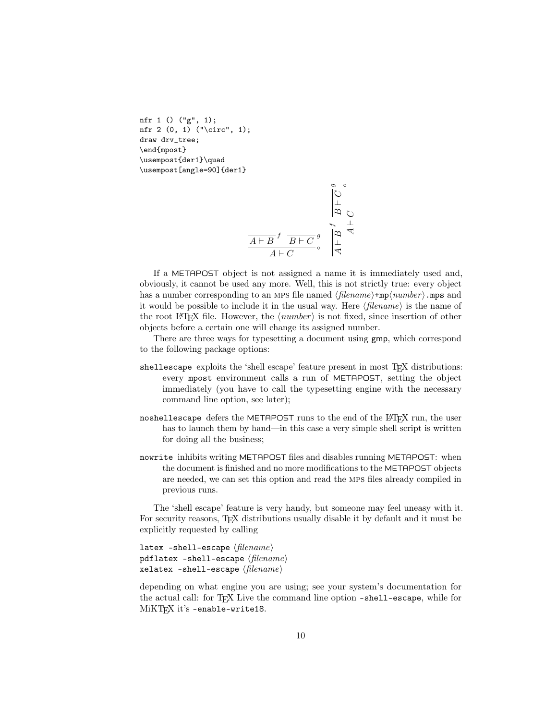```
nfr 1 () ("g", 1);
nfr 2 (0, 1) ("\circ", 1);
draw drv_tree;
\end{mpost}
\usempost{der1}\quad
\usempost[angle=90]{der1}
```

$$
\frac{\overbrace{A \vdash B}^{s} f \overbrace{B \vdash C}^{s} g}{A \vdash C} \circ \frac{\overbrace{A}^{s} \vdash Q}{\overbrace{A} \vdash Q} \circ \frac{\overbrace{A}^{s} \vdash Q}{\overbrace{A} \vdash Q}
$$

If a METAPOST object is not assigned a name it is immediately used and, obviously, it cannot be used any more. Well, this is not strictly true: every object has a number corresponding to an MPS file named  $\langle filename\rangle + mp\langle number\rangle$ .mps and it would be possible to include it in the usual way. Here  $\langle filename\rangle$  is the name of the root LAT<sub>EX</sub> file. However, the  $\langle number \rangle$  is not fixed, since insertion of other objects before a certain one will change its assigned number.

There are three ways for typesetting a document using gmp, which correspond to the following package options:

- shellescape exploits the 'shell escape' feature present in most T<sub>E</sub>X distributions: every mpost environment calls a run of METAPOST, setting the object immediately (you have to call the typesetting engine with the necessary command line option, see later);
- noshellescape defers the METAPOST runs to the end of the L<sup>AT</sup>EX run, the user has to launch them by hand—in this case a very simple shell script is written for doing all the business;
- nowrite inhibits writing METAPOST files and disables running METAPOST: when the document is finished and no more modifications to the METAPOST objects are needed, we can set this option and read the mps files already compiled in previous runs.

The 'shell escape' feature is very handy, but someone may feel uneasy with it. For security reasons, TEX distributions usually disable it by default and it must be explicitly requested by calling

latex -shell-escape  $\langle filename \rangle$ pdflatex -shell-escape  $\langle filename \rangle$ xelatex -shell-escape  $\langle filename \rangle$ 

depending on what engine you are using; see your system's documentation for the actual call: for T<sub>F</sub>X Live the command line option -shell-escape, while for MiKTEX it's -enable-write18.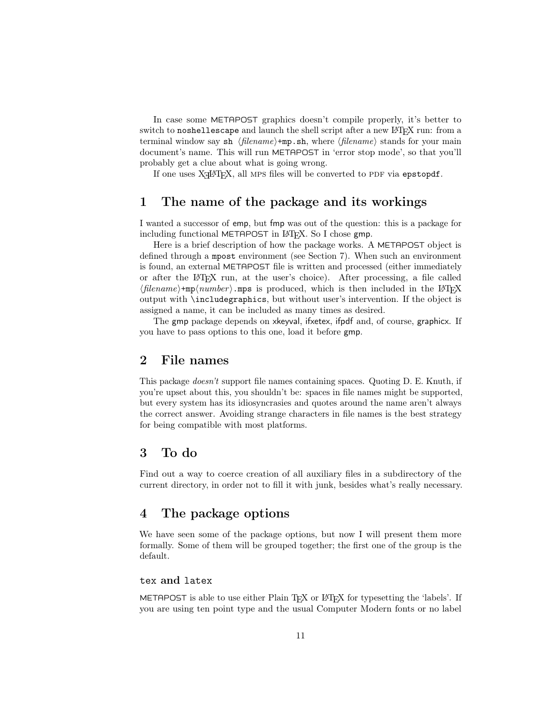In case some METAPOST graphics doesn't compile properly, it's better to switch to noshellescape and launch the shell script after a new LAT<sub>EX</sub> run: from a terminal window say sh  $\langle filename\rangle+mp.sh,$  where  $\langle filename\rangle$  stands for your main document's name. This will run METAPOST in 'error stop mode', so that you'll probably get a clue about what is going wrong.

If one uses X<sub>H</sub>AT<sub>E</sub>X, all MPS files will be converted to PDF via epstopdf.

## 1 The name of the package and its workings

I wanted a successor of emp, but fmp was out of the question: this is a package for including functional METAPOST in L<sup>AT</sup>FX. So I chose gmp.

Here is a brief description of how the package works. A METAPOST object is defined through a mpost environment (see Section 7). When such an environment is found, an external METAPOST file is written and processed (either immediately or after the LATEX run, at the user's choice). After processing, a file called  $\langle filename\rangle + mp\langle number\rangle$ .mps is produced, which is then included in the LAT<sub>EX</sub> output with \includegraphics, but without user's intervention. If the object is assigned a name, it can be included as many times as desired.

The gmp package depends on xkeyval, ifxetex, ifpdf and, of course, graphicx. If you have to pass options to this one, load it before gmp.

## 2 File names

This package doesn't support file names containing spaces. Quoting D. E. Knuth, if you're upset about this, you shouldn't be: spaces in file names might be supported, but every system has its idiosyncrasies and quotes around the name aren't always the correct answer. Avoiding strange characters in file names is the best strategy for being compatible with most platforms.

## 3 To do

Find out a way to coerce creation of all auxiliary files in a subdirectory of the current directory, in order not to fill it with junk, besides what's really necessary.

## 4 The package options

We have seen some of the package options, but now I will present them more formally. Some of them will be grouped together; the first one of the group is the default.

### tex and latex

METAPOST is able to use either Plain T<sub>EX</sub> or LAT<sub>EX</sub> for typesetting the 'labels'. If you are using ten point type and the usual Computer Modern fonts or no label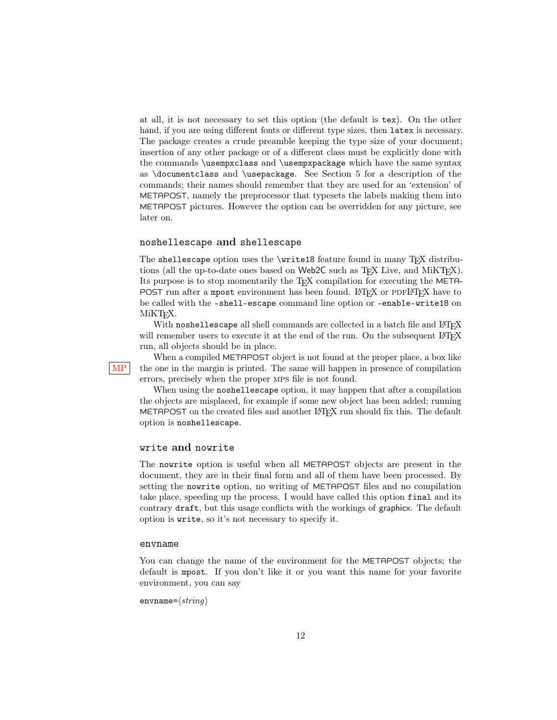at all, it is not necessary to set this option (the default is tex). On the other hand, if you are using different fonts or different type sizes, then latex is necessary. The package creates a crude preamble keeping the type size of your document; insertion of any other package or of a different class must be explicitly done with the commands \usempxclass and \usempxpackage which have the same syntax as \documentclass and \usepackage. See Section 5 for a description of the commands; their names should remember that they are used for an 'extension' of METAPOST, namely the preprocessor that typesets the labels making them into METAPOST pictures. However the option can be overridden for any picture, see later on.

### noshellescape and shellescape

The shellescape option uses the \write18 feature found in many TEX distributions (all the up-to-date ones based on Web2C such as T<sub>E</sub>X Live, and MiKT<sub>E</sub>X). Its purpose is to stop momentarily the TEX compilation for executing the META-POST run after a mpost environment has been found. LAT<sub>EX</sub> or PDFLAT<sub>EX</sub> have to be called with the -shell-escape command line option or -enable-write18 on MiKT<sub>F</sub>X.

With noshellescape all shell commands are collected in a batch file and LATEX will remember users to execute it at the end of the run. On the subsequent LAT<sub>EX</sub> run, all objects should be in place.

When a compiled METAPOST object is not found at the proper place, a box like  $MP$  the one in the margin is printed. The same will happen in presence of compilation errors, precisely when the proper mps file is not found.

When using the noshellescape option, it may happen that after a compilation the objects are misplaced, for example if some new object has been added; running METAPOST on the created files and another LAT<sub>EX</sub> run should fix this. The default option is noshellescape.

### write and nowrite

The nowrite option is useful when all METAPOST objects are present in the document, they are in their final form and all of them have been processed. By setting the nowrite option, no writing of METAPOST files and no compilation take place, speeding up the process. I would have called this option final and its contrary draft, but this usage conflicts with the workings of graphicx. The default option is write, so it's not necessary to specify it.

#### envname

You can change the name of the environment for the METAPOST objects; the default is mpost. If you don't like it or you want this name for your favorite environment, you can say

envname= $\langle string \rangle$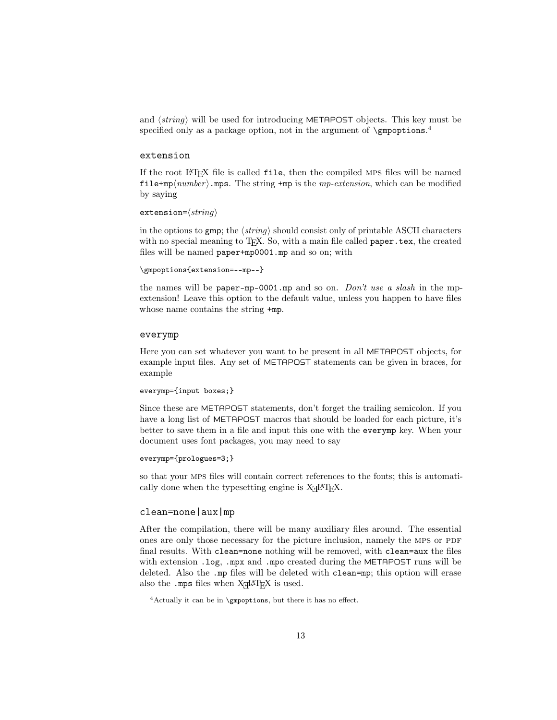and  $\langle string \rangle$  will be used for introducing METAPOST objects. This key must be specified only as a package option, not in the argument of **\gmpoptions**.<sup>4</sup>

### extension

If the root LATEX file is called file, then the compiled mps files will be named file+mp $\langle number \rangle$ .mps. The string +mp is the *mp-extension*, which can be modified by saying

```
extension=\langle string \rangle
```
in the options to gmp; the  $\langle string \rangle$  should consist only of printable ASCII characters with no special meaning to T<sub>F</sub>X. So, with a main file called **paper**.tex, the created files will be named paper+mp0001.mp and so on; with

```
\gmpoptions{extension=--mp--}
```
the names will be paper-mp-0001.mp and so on. Don't use a slash in the mpextension! Leave this option to the default value, unless you happen to have files whose name contains the string  $+m$ p.

#### everymp

Here you can set whatever you want to be present in all METAPOST objects, for example input files. Any set of METAPOST statements can be given in braces, for example

#### everymp={input boxes;}

Since these are METAPOST statements, don't forget the trailing semicolon. If you have a long list of METAPOST macros that should be loaded for each picture, it's better to save them in a file and input this one with the everymp key. When your document uses font packages, you may need to say

#### everymp={prologues=3;}

so that your mps files will contain correct references to the fonts; this is automatically done when the type<br>setting engine is  $\text{XgIATEX}.$ 

### clean=none|aux|mp

After the compilation, there will be many auxiliary files around. The essential ones are only those necessary for the picture inclusion, namely the MPS or PDF final results. With clean=none nothing will be removed, with clean=aux the files with extension .log, .mpx and .mpo created during the METAPOST runs will be deleted. Also the .mp files will be deleted with clean=mp; this option will erase also the .mps files when  $X \rightarrow Z \rightarrow Z$  is used.

<sup>4</sup>Actually it can be in \gmpoptions, but there it has no effect.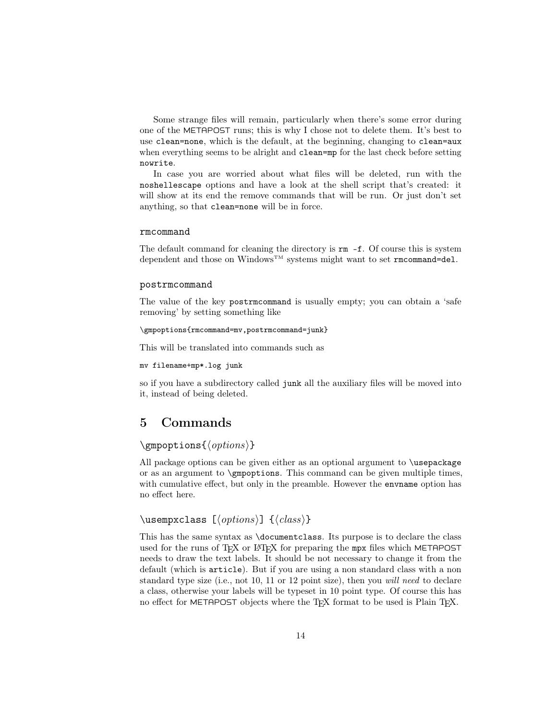Some strange files will remain, particularly when there's some error during one of the METAPOST runs; this is why I chose not to delete them. It's best to use clean=none, which is the default, at the beginning, changing to clean=aux when everything seems to be alright and clean=mp for the last check before setting nowrite.

In case you are worried about what files will be deleted, run with the noshellescape options and have a look at the shell script that's created: it will show at its end the remove commands that will be run. Or just don't set anything, so that clean=none will be in force.

#### rmcommand

The default command for cleaning the directory is  $rm -f$ . Of course this is system dependent and those on  $Windows^{\textsc{tm}}$  systems might want to set  $\texttt{rmcommand=del.}$ 

#### postrmcommand

The value of the key postrmcommand is usually empty; you can obtain a 'safe removing' by setting something like

#### \gmpoptions{rmcommand=mv,postrmcommand=junk}

This will be translated into commands such as

#### mv filename+mp\*.log junk

so if you have a subdirectory called junk all the auxiliary files will be moved into it, instead of being deleted.

## 5 Commands

### \gmpoptions{ $\langle options \rangle$ }

All package options can be given either as an optional argument to \usepackage or as an argument to \gmpoptions. This command can be given multiple times, with cumulative effect, but only in the preamble. However the envname option has no effect here.

## \usempxclass  $[\langle options \rangle] \{ \langle class \rangle\}$

This has the same syntax as \documentclass. Its purpose is to declare the class used for the runs of TEX or LATEX for preparing the mpx files which METAPOST needs to draw the text labels. It should be not necessary to change it from the default (which is article). But if you are using a non standard class with a non standard type size (i.e., not 10, 11 or 12 point size), then you *will need* to declare a class, otherwise your labels will be typeset in 10 point type. Of course this has no effect for METAPOST objects where the T<sub>F</sub>X format to be used is Plain T<sub>F</sub>X.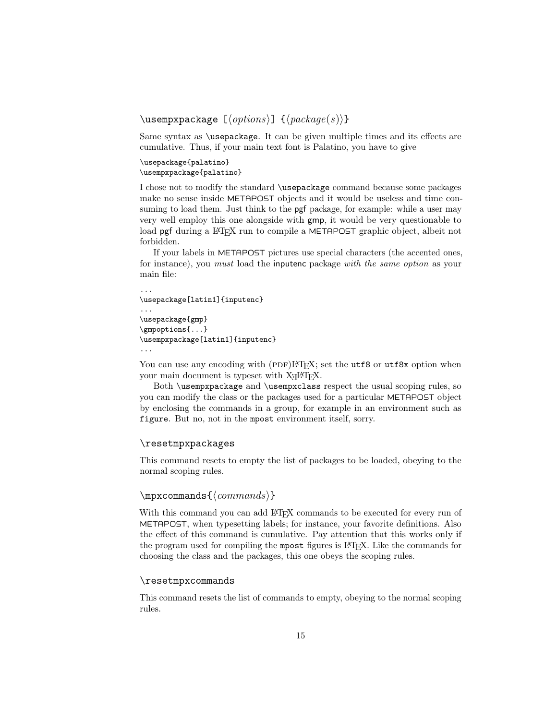```
\usempxpackage [\langle options \rangle] \ {\langle package(s) \rangle\}
```
Same syntax as \usepackage. It can be given multiple times and its effects are cumulative. Thus, if your main text font is Palatino, you have to give

```
\usepackage{palatino}
\usempxpackage{palatino}
```
I chose not to modify the standard \usepackage command because some packages make no sense inside METAPOST objects and it would be useless and time consuming to load them. Just think to the pgf package, for example: while a user may very well employ this one alongside with gmp, it would be very questionable to load pgf during a LAT<sub>EX</sub> run to compile a METAPOST graphic object, albeit not forbidden.

If your labels in METAPOST pictures use special characters (the accented ones, for instance), you must load the inputenc package with the same option as your main file:

```
...
\usepackage[latin1]{inputenc}
...
\usepackage{gmp}
\gmpoptions{...}
\usempxpackage[latin1]{inputenc}
...
```
You can use any encoding with (PDF)LATEX; set the utf8 or utf8x option when your main document is typeset with  $X \rightarrow Y \rightarrow X$ .

Both \usempxpackage and \usempxclass respect the usual scoping rules, so you can modify the class or the packages used for a particular METAPOST object by enclosing the commands in a group, for example in an environment such as figure. But no, not in the mpost environment itself, sorry.

#### \resetmpxpackages

This command resets to empty the list of packages to be loaded, obeying to the normal scoping rules.

### $\mbox{normals}\{\mbox{commands}\}$

With this command you can add LATEX commands to be executed for every run of METAPOST, when typesetting labels; for instance, your favorite definitions. Also the effect of this command is cumulative. Pay attention that this works only if the program used for compiling the mpost figures is LATEX. Like the commands for choosing the class and the packages, this one obeys the scoping rules.

### \resetmpxcommands

This command resets the list of commands to empty, obeying to the normal scoping rules.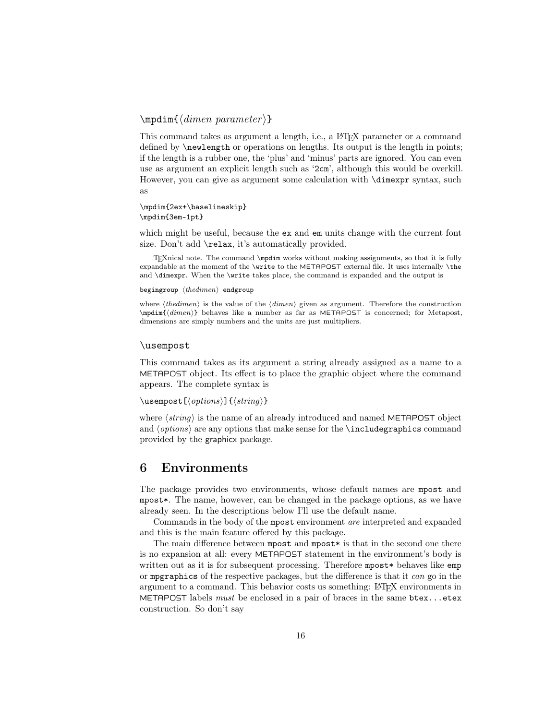### $\mathcal{\langle}$ dimen parameter }}

This command takes as argument a length, i.e., a LAT<sub>EX</sub> parameter or a command defined by **\newlength** or operations on lengths. Its output is the length in points; if the length is a rubber one, the 'plus' and 'minus' parts are ignored. You can even use as argument an explicit length such as '2cm', although this would be overkill. However, you can give as argument some calculation with \dimexpr syntax, such as

\mpdim{2ex+\baselineskip} \mpdim{3em-1pt}

which might be useful, because the **ex** and **em** units change with the current font size. Don't add \relax, it's automatically provided.

TEXnical note. The command \mpdim works without making assignments, so that it is fully expandable at the moment of the \write to the METAPOST external file. It uses internally \the and \dimexpr. When the \write takes place, the command is expanded and the output is

begingroup  $\langle the dimen \rangle$  endgroup

where  $\langle thedimen \rangle$  is the value of the  $\langle dimen \rangle$  given as argument. Therefore the construction  $\mathrm{\{dimensional}\}$  behaves like a number as far as METAPOST is concerned; for Metapost, dimensions are simply numbers and the units are just multipliers.

#### \usempost

This command takes as its argument a string already assigned as a name to a METAPOST object. Its effect is to place the graphic object where the command appears. The complete syntax is

```
\usempost[\{options\}]{\{string\}}
```
where  $\langle string \rangle$  is the name of an already introduced and named METAPOST object and  $\langle options \rangle$  are any options that make sense for the \includegraphics command provided by the graphicx package.

### 6 Environments

The package provides two environments, whose default names are mpost and mpost\*. The name, however, can be changed in the package options, as we have already seen. In the descriptions below I'll use the default name.

Commands in the body of the mpost environment are interpreted and expanded and this is the main feature offered by this package.

The main difference between mpost and mpost\* is that in the second one there is no expansion at all: every METAPOST statement in the environment's body is written out as it is for subsequent processing. Therefore mpost\* behaves like emp or mpgraphics of the respective packages, but the difference is that it can go in the argument to a command. This behavior costs us something: LATEX environments in METAPOST labels must be enclosed in a pair of braces in the same  $b$ tex... $etex$ construction. So don't say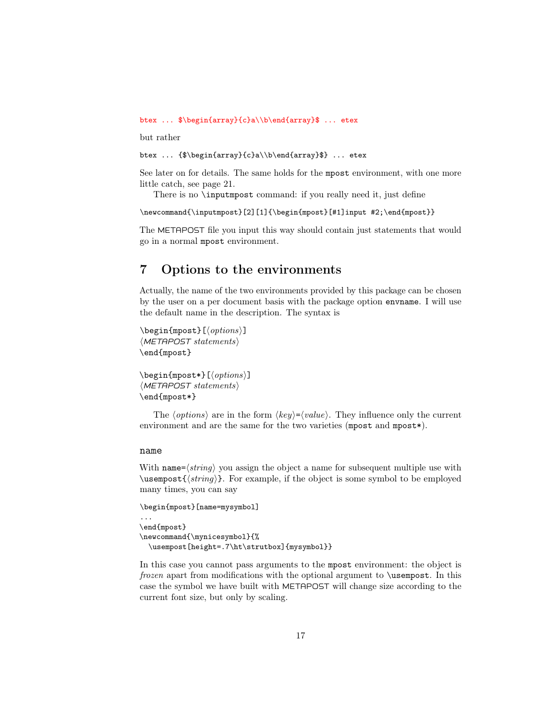btex ... \$\begin{array}{c}a\\b\end{array}\$ ... etex

but rather

```
btex ... {$\begin{array}{c}a\\b\end{array}$} ... etex
```
See later on for details. The same holds for the mpost environment, with one more little catch, see page 21.

There is no \inputmpost command: if you really need it, just define

\newcommand{\inputmpost}[2][1]{\begin{mpost}[#1]input #2;\end{mpost}}

The METAPOST file you input this way should contain just statements that would go in a normal mpost environment.

## 7 Options to the environments

Actually, the name of the two environments provided by this package can be chosen by the user on a per document basis with the package option envname. I will use the default name in the description. The syntax is

```
\begin{equation*}[\langle options \rangle] \end{equation*}\langleMETAPOST statements\rangle\end{mpost}
```
\begin{mpost\*}[ $\{options\}$ ]  $\langle \textit{METAPOST}~ statements \rangle$ \end{mpost\*}

The  $\langle options \rangle$  are in the form  $\langle key \rangle = \langle value \rangle$ . They influence only the current environment and are the same for the two varieties (mpost and mpost\*).

### name

With name= $\langle string \rangle$  you assign the object a name for subsequent multiple use with  $\u$ sempost ${\langle string \rangle}$ . For example, if the object is some symbol to be employed many times, you can say

```
\begin{mpost}[name=mysymbol]
...
\end{mpost}
\newcommand{\mynicesymbol}{%
  \usempost[height=.7\ht\strutbox]{mysymbol}}
```
In this case you cannot pass arguments to the mpost environment: the object is frozen apart from modifications with the optional argument to \usempost. In this case the symbol we have built with METAPOST will change size according to the current font size, but only by scaling.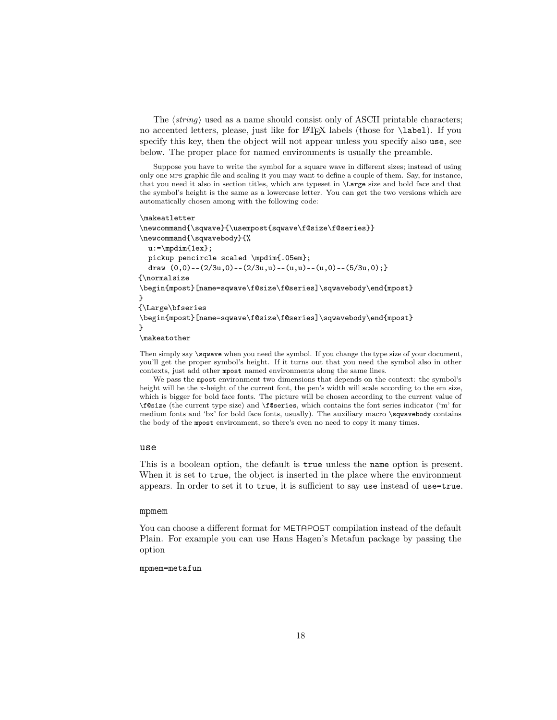The  $\langle string \rangle$  used as a name should consist only of ASCII printable characters; no accented letters, please, just like for LATEX labels (those for \label). If you specify this key, then the object will not appear unless you specify also use, see below. The proper place for named environments is usually the preamble.

Suppose you have to write the symbol for a square wave in different sizes; instead of using only one mps graphic file and scaling it you may want to define a couple of them. Say, for instance, that you need it also in section titles, which are typeset in \Large size and bold face and that the symbol's height is the same as a lowercase letter. You can get the two versions which are automatically chosen among with the following code:

#### \makeatletter

```
\newcommand{\sqwave}{\usempost{sqwave\f@size\f@series}}
\newcommand{\sqwavebody}{%
  u:=\mpdim{1ex};
  pickup pencircle scaled \mpdim{.05em};
  draw (0,0)-((2/3u,0)-((2/3u,u)-((u,u)-((u,0)-((5/3u,0)))){\normalsize
\begin{mpost}[name=sqwave\f@size\f@series]\sqwavebody\end{mpost}
}
{\Large\bfseries
\begin{mpost}[name=sqwave\f@size\f@series]\sqwavebody\end{mpost}
}
\makeatother
```
Then simply say  $\sqrt{\sqrt{g}}$  say when you need the symbol. If you change the type size of your document, you'll get the proper symbol's height. If it turns out that you need the symbol also in other contexts, just add other mpost named environments along the same lines.

We pass the mpost environment two dimensions that depends on the context: the symbol's height will be the x-height of the current font, the pen's width will scale according to the em size, which is bigger for bold face fonts. The picture will be chosen according to the current value of \f@size (the current type size) and \f@series, which contains the font series indicator ('m' for medium fonts and 'bx' for bold face fonts, usually). The auxiliary macro \sqwavebody contains the body of the mpost environment, so there's even no need to copy it many times.

#### use

This is a boolean option, the default is true unless the name option is present. When it is set to true, the object is inserted in the place where the environment appears. In order to set it to true, it is sufficient to say use instead of use=true.

#### mpmem

You can choose a different format for METAPOST compilation instead of the default Plain. For example you can use Hans Hagen's Metafun package by passing the option

### mpmem=metafun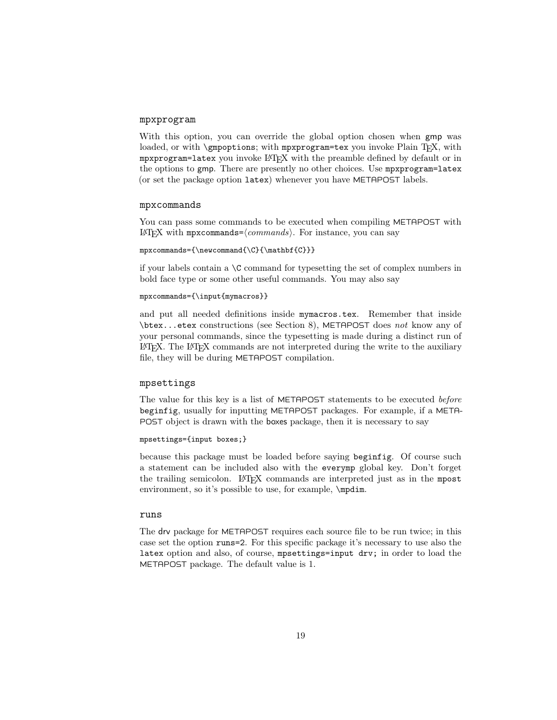### mpxprogram

With this option, you can override the global option chosen when gmp was loaded, or with \gmpoptions; with mpxprogram=tex you invoke Plain TFX, with mpxprogram=latex you invoke LATEX with the preamble defined by default or in the options to gmp. There are presently no other choices. Use mpxprogram=latex (or set the package option latex) whenever you have METAPOST labels.

#### mpxcommands

You can pass some commands to be executed when compiling METAPOST with LAT<sub>E</sub>X with mpxcommands= $\langle commands \rangle$ . For instance, you can say

```
mpxcommands={\newcommand{\C}{\mathbf{C}}}
```
if your labels contain a  $\setminus C$  command for typesetting the set of complex numbers in bold face type or some other useful commands. You may also say

```
mpxcommands={\input{mymacros}}
```
and put all needed definitions inside mymacros.tex. Remember that inside \btex...etex constructions (see Section 8), METAPOST does not know any of your personal commands, since the typesetting is made during a distinct run of LATEX. The LATEX commands are not interpreted during the write to the auxiliary file, they will be during METAPOST compilation.

#### mpsettings

The value for this key is a list of METAPOST statements to be executed before beginfig, usually for inputting METAPOST packages. For example, if a META-POST object is drawn with the boxes package, then it is necessary to say

```
mpsettings={input boxes;}
```
because this package must be loaded before saying beginfig. Of course such a statement can be included also with the everymp global key. Don't forget the trailing semicolon. LAT<sub>EX</sub> commands are interpreted just as in the mpost environment, so it's possible to use, for example,  $\mathcal{L}$ 

#### runs

The drv package for METAPOST requires each source file to be run twice; in this case set the option runs=2. For this specific package it's necessary to use also the latex option and also, of course, mpsettings=input drv; in order to load the METAPOST package. The default value is 1.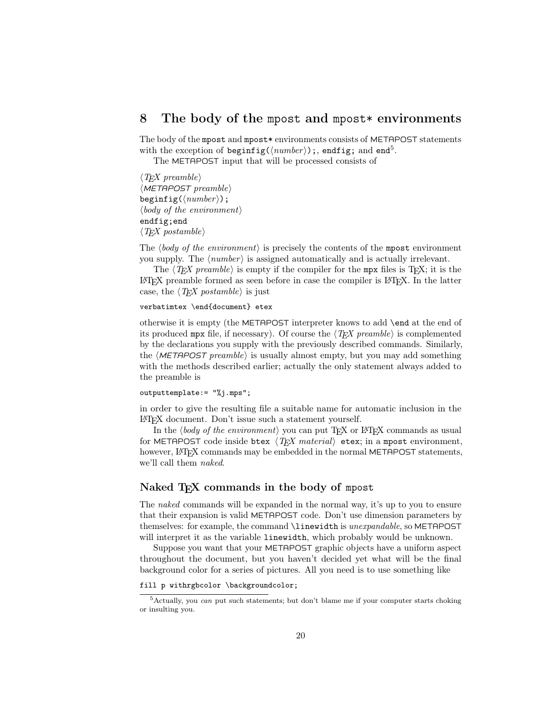## 8 The body of the mpost and mpost  $*$  environments

The body of the mpost and mpost\* environments consists of METAPOST statements with the exception of beginfig( $\langle number \rangle$ );, endfig; and end<sup>5</sup>.

The METAPOST input that will be processed consists of

 $\langle T$ FX preamble  $\langle$ METAPOST preamble $\rangle$ beginfig( $\langle number \rangle$ );  $\langle body\ of\ the\ environment\rangle$ endfig;end  $\langle T$ FX postamble $\rangle$ 

The  $\langle body\ of\ the\ environment\rangle$  is precisely the contents of the mpost environment you supply. The  $\langle number \rangle$  is assigned automatically and is actually irrelevant.

The  $\langle T_F X \text{ }p$  reamble) is empty if the compiler for the mpx files is T<sub>E</sub>X; it is the LATEX preamble formed as seen before in case the compiler is LATEX. In the latter case, the  $\langle TEX\ postample \rangle$  is just

#### verbatimtex \end{document} etex

otherwise it is empty (the METAPOST interpreter knows to add \end at the end of its produced mpx file, if necessary). Of course the  $\langle T_{EX}$  preamble) is complemented by the declarations you supply with the previously described commands. Similarly, the  $\langle \text{METAPOST} \text{p}$  reamble) is usually almost empty, but you may add something with the methods described earlier; actually the only statement always added to the preamble is

#### outputtemplate:= "%j.mps";

in order to give the resulting file a suitable name for automatic inclusion in the LATEX document. Don't issue such a statement yourself.

In the  $\langle body\ of\ the\ environment\rangle$  you can put T<sub>EX</sub> or LATEX commands as usual for METAPOST code inside btex  $\langle TFX \text{ material} \rangle$  etex; in a mpost environment, however, LATEX commands may be embedded in the normal METAPOST statements, we'll call them naked.

### Naked T<sub>F</sub>X commands in the body of mpost

The naked commands will be expanded in the normal way, it's up to you to ensure that their expansion is valid METAPOST code. Don't use dimension parameters by themselves: for example, the command *\linewidth* is *unexpandable*, so METAPOST will interpret it as the variable **linewidth**, which probably would be unknown.

Suppose you want that your METAPOST graphic objects have a uniform aspect throughout the document, but you haven't decided yet what will be the final background color for a series of pictures. All you need is to use something like

#### fill p withrgbcolor \backgroundcolor;

 $5$ Actually, you *can* put such statements; but don't blame me if your computer starts choking or insulting you.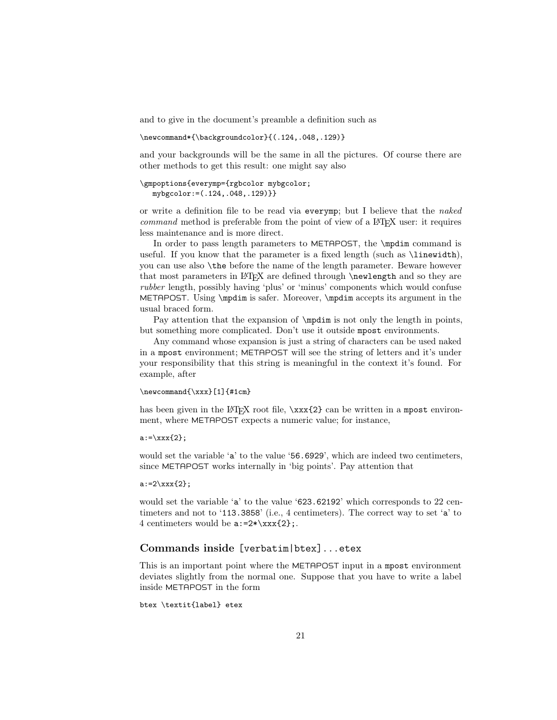and to give in the document's preamble a definition such as

\newcommand\*{\backgroundcolor}{(.124,.048,.129)}

and your backgrounds will be the same in all the pictures. Of course there are other methods to get this result: one might say also

```
\gmpoptions{everymp={rgbcolor mybgcolor;
  mybgcolor:=(.124,.048,.129)}}
```
or write a definition file to be read via everymp; but I believe that the naked command method is preferable from the point of view of a LATEX user: it requires less maintenance and is more direct.

In order to pass length parameters to METAPOST, the \mpdim command is useful. If you know that the parameter is a fixed length (such as \linewidth), you can use also \the before the name of the length parameter. Beware however that most parameters in LATEX are defined through **\newlength** and so they are rubber length, possibly having 'plus' or 'minus' components which would confuse METAPOST. Using \mpdim is safer. Moreover, \mpdim accepts its argument in the usual braced form.

Pay attention that the expansion of  $\mathbb{I}$  is not only the length in points, but something more complicated. Don't use it outside mpost environments.

Any command whose expansion is just a string of characters can be used naked in a mpost environment; METAPOST will see the string of letters and it's under your responsibility that this string is meaningful in the context it's found. For example, after

### \newcommand{\xxx}[1]{#1cm}

has been given in the LATEX root file,  $\xxx{2}$  can be written in a mpost environment, where METAPOST expects a numeric value; for instance,

 $a:=\x x x {2};$ 

would set the variable 'a' to the value '56.6929', which are indeed two centimeters, since METAPOST works internally in 'big points'. Pay attention that

#### $a:=2\xxx{2};$

would set the variable 'a' to the value '623.62192' which corresponds to 22 centimeters and not to '113.3858' (i.e., 4 centimeters). The correct way to set 'a' to 4 centimeters would be  $a:=2*\xxx{2}$ ;

### Commands inside [verbatim|btex]...etex

This is an important point where the METAPOST input in a mpost environment deviates slightly from the normal one. Suppose that you have to write a label inside METAPOST in the form

```
btex \textit{label} etex
```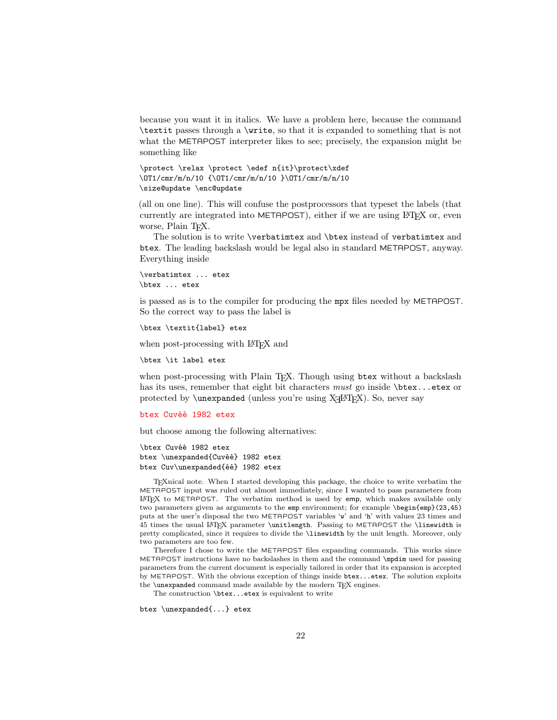because you want it in italics. We have a problem here, because the command \textit passes through a \write, so that it is expanded to something that is not what the METAPOST interpreter likes to see; precisely, the expansion might be something like

```
\protect \relax \protect \edef n{it}\protect\xdef
\OT1/cmr/m/n/10 {\OT1/cmr/m/n/10 }\OT1/cmr/m/n/10
\size@update \enc@update
```
(all on one line). This will confuse the postprocessors that typeset the labels (that currently are integrated into METAPOST), either if we are using LAT<sub>EX</sub> or, even worse, Plain T<sub>E</sub>X.

The solution is to write \verbatimtex and \btex instead of verbatimtex and btex. The leading backslash would be legal also in standard METAPOST, anyway. Everything inside

\verbatimtex ... etex \btex ... etex

is passed as is to the compiler for producing the mpx files needed by METAPOST. So the correct way to pass the label is

```
\btex \textit{label} etex
```
when post-processing with LAT<sub>EX</sub> and

\btex \it label etex

when post-processing with Plain T<sub>EX</sub>. Though using btex without a backslash has its uses, remember that eight bit characters must go inside \btex...etex or protected by  $\un{unexpanded (unless you're using X<sub>d</sub>A<sub>F</sub>X). So, never say$ 

#### btex Cuvéé 1982 etex

but choose among the following alternatives:

```
\btex Cuvéé 1982 etex
btex \unexpanded{Cuvéé} 1982 etex
btex Cuv\unexpanded{éé} 1982 etex
```
TEXnical note. When I started developing this package, the choice to write verbatim the METAPOST input was ruled out almost immediately, since I wanted to pass parameters from LATEX to METAPOST. The verbatim method is used by emp, which makes available only two parameters given as arguments to the emp environment; for example \begin{emp}(23,45) puts at the user's disposal the two METAPOST variables 'w' and 'h' with values 23 times and 45 times the usual LATEX parameter \unitlength. Passing to METAPOST the \linewidth is pretty complicated, since it requires to divide the \linewidth by the unit length. Moreover, only two parameters are too few.

Therefore I chose to write the METAPOST files expanding commands. This works since METAPOST instructions have no backslashes in them and the command \mpdim used for passing parameters from the current document is especially tailored in order that its expansion is accepted by METAPOST. With the obvious exception of things inside btex...etex. The solution exploits the \unexpanded command made available by the modern TFX engines.

The construction \btex...etex is equivalent to write

btex \unexpanded{...} etex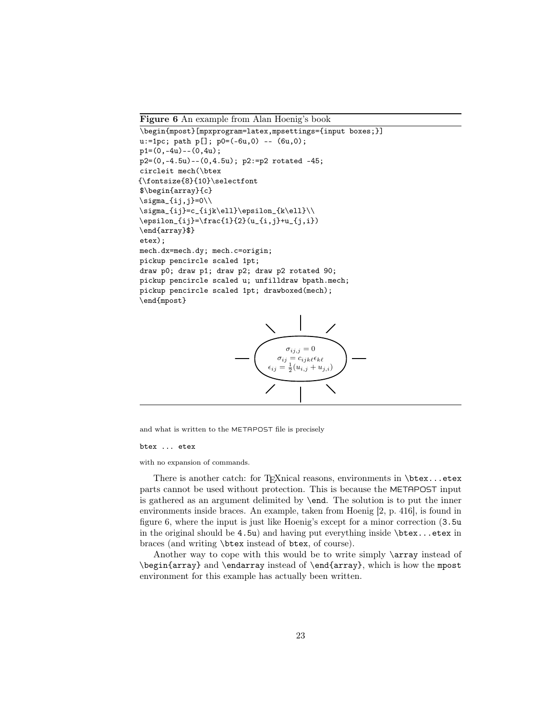Figure 6 An example from Alan Hoenig's book

```
\begin{mpost}[mpxprogram=latex,mpsettings={input boxes;}]
u:=1pc; path p[]; p0=(-6u,0) -- (6u,0);
p1=(0, -4u) - (0, 4u);
p2=(0,-4.5u)--(0,4.5u); p2:=p2 rotated -45;
circleit mech(\btex
{\mathcal{8}{10}\setminus\mathcal{R}}$\begin{array}{c}
\sigma_{ij,j}=0\\sigma_{ij}=c_{ijk\ell}\epsilon_{k\ell}\\
\epsilon_{ij}=\frac{1}{2}(u_{i,j}+u_{j,i})\end{array}$}
etex);
mech.dx=mech.dy; mech.c=origin;
pickup pencircle scaled 1pt;
draw p0; draw p1; draw p2; draw p2 rotated 90;
pickup pencircle scaled u; unfilldraw bpath.mech;
pickup pencircle scaled 1pt; drawboxed(mech);
\end{mpost}
```


and what is written to the METAPOST file is precisely

#### btex ... etex

with no expansion of commands.

There is another catch: for TEXnical reasons, environments in \btex...etex parts cannot be used without protection. This is because the METAPOST input is gathered as an argument delimited by \end. The solution is to put the inner environments inside braces. An example, taken from Hoenig [2, p. 416], is found in figure 6, where the input is just like Hoenig's except for a minor correction (3.5u in the original should be  $4.5u$ ) and having put everything inside  $\beta x \dots$  etex in braces (and writing \btex instead of btex, of course).

Another way to cope with this would be to write simply \array instead of \begin{array} and \endarray instead of \end{array}, which is how the mpost environment for this example has actually been written.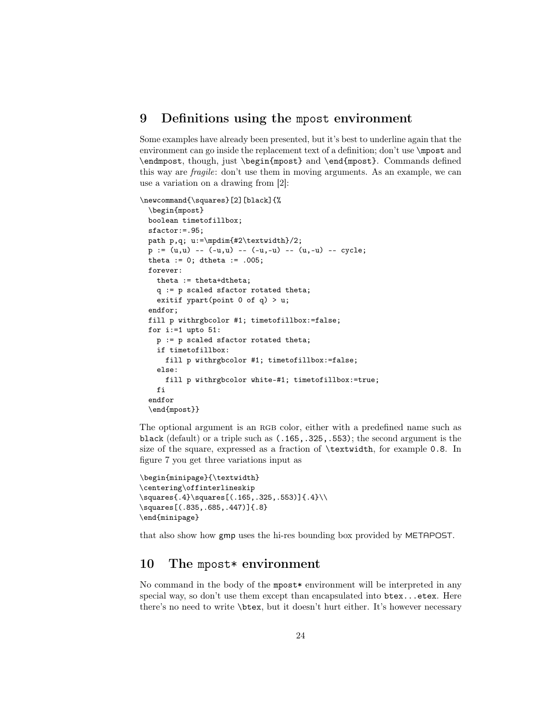## 9 Definitions using the mpost environment

Some examples have already been presented, but it's best to underline again that the environment can go inside the replacement text of a definition; don't use \mpost and \endmpost, though, just \begin{mpost} and \end{mpost}. Commands defined this way are fragile: don't use them in moving arguments. As an example, we can use a variation on a drawing from [2]:

```
\newcommand{\squares}[2][black]{%
 \begin{mpost}
 boolean timetofillbox;
 sfactor:=.95;
 path p,q; u:=\mpdim{#2\textwidth}/2;
 p := (u,u) -- (-u,u) -- (-u,-u) -- (u,-u) -- cycle;
 theta := 0; dtheta := .005;
 forever:
   theta := theta+dtheta;
   q := p scaled sfactor rotated theta;
   exitif ypart(point 0 of q) > u;
 endfor;
 fill p withrgbcolor #1; timetofillbox:=false;
 for i:=1 upto 51:
   p := p scaled sfactor rotated theta;
   if timetofillbox:
     fill p withrgbcolor #1; timetofillbox:=false;
   else:
      fill p withrgbcolor white-#1; timetofillbox:=true;
   fi
 endfor
 \end{mpost}}
```
The optional argument is an RGB color, either with a predefined name such as black (default) or a triple such as (.165,.325,.553); the second argument is the size of the square, expressed as a fraction of \textwidth, for example 0.8. In figure 7 you get three variations input as

```
\begin{minipage}{\textwidth}
\centering\offinterlineskip
\squares{.4}\squares[(.165,.325,.553)]{.4}\\
\squares[(.835,.685,.447)]{.8}
\end{minipage}
```
that also show how gmp uses the hi-res bounding box provided by METAPOST.

## 10 The mpost\* environment

No command in the body of the mpost vervironment will be interpreted in any special way, so don't use them except than encapsulated into  $b$ tex...etex. Here there's no need to write \btex, but it doesn't hurt either. It's however necessary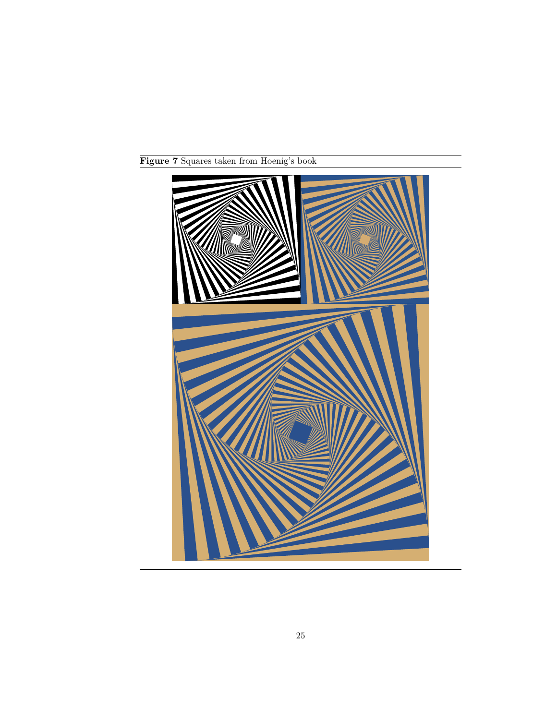

Figure 7 Squares taken from Hoenig's book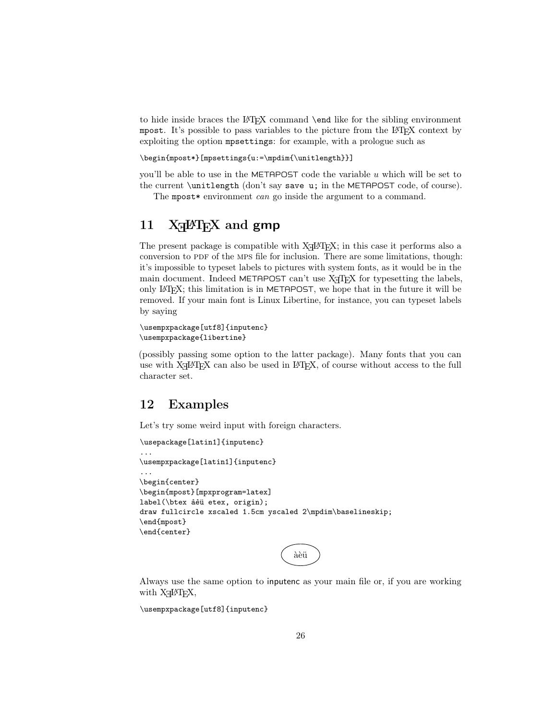to hide inside braces the LATEX command \end like for the sibling environment mpost. It's possible to pass variables to the picture from the LATEX context by exploiting the option mpsettings: for example, with a prologue such as

```
\begin{mpost*}[mpsettings{u:=\mpdim{\unitlength}}]
```
you'll be able to use in the METAPOST code the variable  $u$  which will be set to the current \unitlength (don't say save u; in the METAPOST code, of course).

The mpost \* environment *can* go inside the argument to a command.

# 11 XHATEX and gmp

The present package is compatible with  $X_{\text{T}}$   $\text{LFT}_{\text{E}}$  in this case it performs also a conversion to PDF of the MPS file for inclusion. There are some limitations, though: it's impossible to typeset labels to pictures with system fonts, as it would be in the main document. Indeed METAPOST can't use  $X_{\overline{A}}T_{\overline{P}}X$  for typesetting the labels, only LATEX; this limitation is in METAPOST, we hope that in the future it will be removed. If your main font is Linux Libertine, for instance, you can typeset labels by saying

```
\usempxpackage[utf8]{inputenc}
\usempxpackage{libertine}
```
(possibly passing some option to the latter package). Many fonts that you can use with  $X \rightarrow Y$  can also be used in  $\mathbb{F} \times X$ , of course without access to the full character set.

## 12 Examples

Let's try some weird input with foreign characters.

```
\usepackage[latin1]{inputenc}
...
\usempxpackage[latin1]{inputenc}
...
\begin{center}
\begin{mpost}[mpxprogram=latex]
label(\btex àèü etex, origin);
draw fullcircle xscaled 1.5cm yscaled 2\mpdim\baselineskip;
\end{mpost}
\end{center}
```
àèü

Always use the same option to inputenc as your main file or, if you are working with  $X \rightarrow E X$ ,

```
\usempxpackage[utf8]{inputenc}
```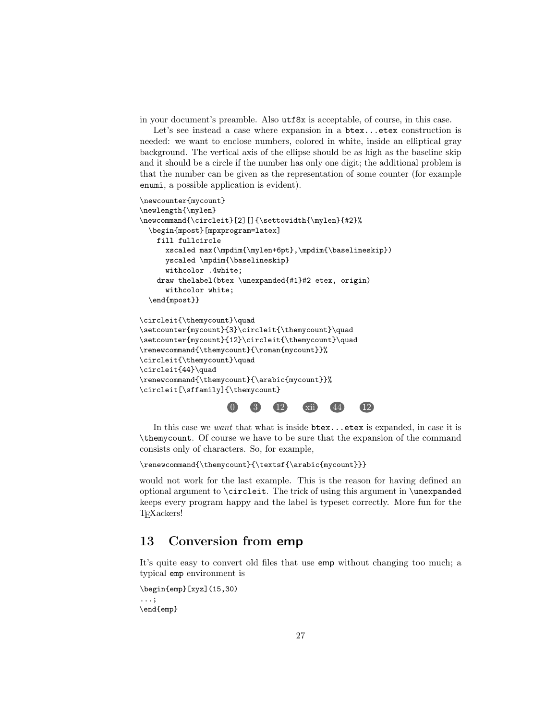in your document's preamble. Also utf8x is acceptable, of course, in this case.

Let's see instead a case where expansion in a btex...etex construction is needed: we want to enclose numbers, colored in white, inside an elliptical gray background. The vertical axis of the ellipse should be as high as the baseline skip and it should be a circle if the number has only one digit; the additional problem is that the number can be given as the representation of some counter (for example enumi, a possible application is evident).

```
\newcounter{mycount}
\newlength{\mylen}
\newcommand{\circleit}[2][]{\settowidth{\mylen}{#2}%
  \begin{mpost}[mpxprogram=latex]
    fill fullcircle
      xscaled \max(\mplim{\mylen+6pt},\mplim{\baselineskip}\)yscaled \mpdim{\baselineskip}
      withcolor .4white;
    draw thelabel(btex \unexpanded{#1}#2 etex, origin)
      withcolor white;
  \end{mpost}}
\circleit{\themycount}\quad
\setcounter{mycount}{3}\circleit{\themycount}\quad
\setcounter{mycount}{12}\circleit{\themycount}\quad
\renewcommand{\themycount}{\roman{mycount}}%
\circleit{\themycount}\quad
\circleit{44}\quad
\renewcommand{\themycount}{\arabic{mycount}}%
\circleit[\sffamily]{\themycount}
```


In this case we want that what is inside  $b$ tex...etex is expanded, in case it is \themycount. Of course we have to be sure that the expansion of the command consists only of characters. So, for example,

```
\renewcommand{\themycount}{\textsf{\arabic{mycount}}}
```
would not work for the last example. This is the reason for having defined an optional argument to \circleit. The trick of using this argument in \unexpanded keeps every program happy and the label is typeset correctly. More fun for the TEXackers!

## 13 Conversion from emp

It's quite easy to convert old files that use emp without changing too much; a typical emp environment is

```
\begin{emp}[xyz](15,30)
...;
\end{emp}
```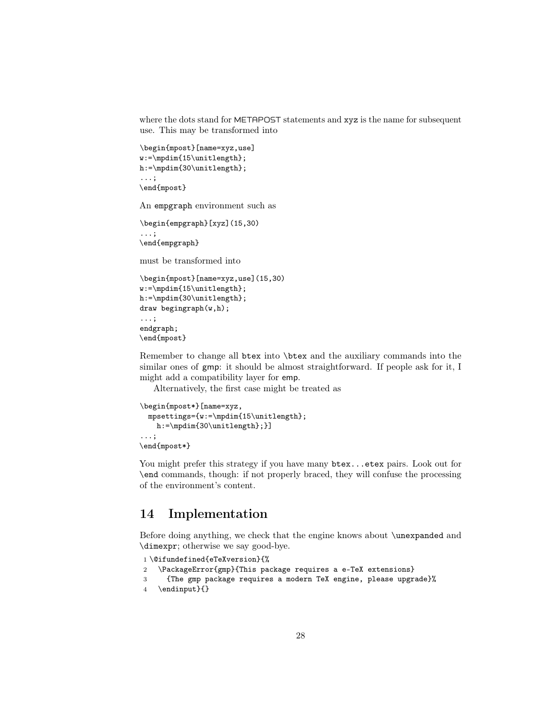where the dots stand for METAPOST statements and xyz is the name for subsequent use. This may be transformed into

```
\begin{mpost}[name=xyz,use]
w:=\mpdim{15\unitlength};
h:=\mpdim{30\unitlength};
...;
```

```
\end{mpost}
```
An empgraph environment such as

```
\begin{empgraph}[xyz](15,30)
...;
\end{empgraph}
```
must be transformed into

```
\begin{mpost}[name=xyz,use](15,30)
w:=\mpdim{15\unitlength};
h:=\mpdim{30\unitlength};
draw begingraph(w,h);
...;
endgraph;
\end{mpost}
```
Remember to change all btex into \btex and the auxiliary commands into the similar ones of gmp: it should be almost straightforward. If people ask for it, I might add a compatibility layer for emp.

Alternatively, the first case might be treated as

```
\begin{mpost*}[name=xyz,
 mpsettings={w:=\mpdim{15\unitlength};
   h:=\mpdim{30\unitlength};}]
...;
\end{mpost*}
```
You might prefer this strategy if you have many  $b$ tex...etex pairs. Look out for \end commands, though: if not properly braced, they will confuse the processing of the environment's content.

## 14 Implementation

Before doing anything, we check that the engine knows about \unexpanded and \dimexpr; otherwise we say good-bye.

```
1 \@ifundefined{eTeXversion}{%
```

```
2 \PackageError{gmp}{This package requires a e-TeX extensions}
```
- 3 {The gmp package requires a modern TeX engine, please upgrade}%
- 4 \endinput}{}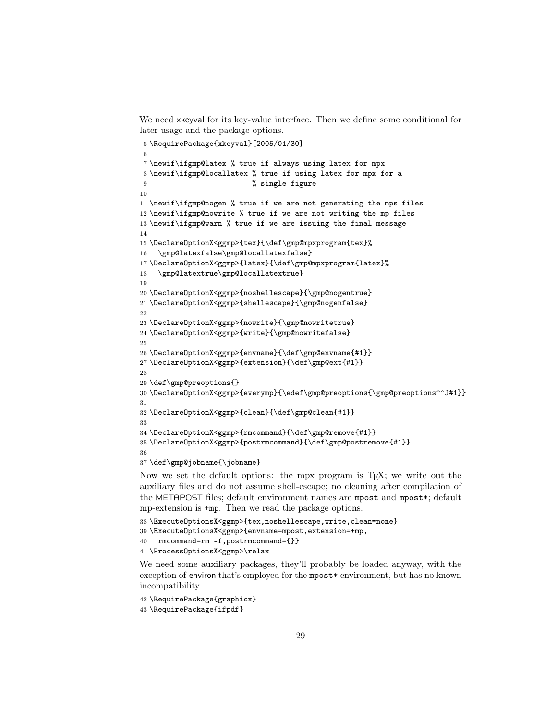We need xkeyval for its key-value interface. Then we define some conditional for later usage and the package options.

```
5 \RequirePackage{xkeyval}[2005/01/30]
6
7 \newif\ifgmp@latex % true if always using latex for mpx
8 \newif\ifgmp@locallatex % true if using latex for mpx for a
9 % single figure
10
11 \newif\ifgmp@nogen % true if we are not generating the mps files
12 \newif\ifgmp@nowrite % true if we are not writing the mp files
13 \newif\ifgmp@warn % true if we are issuing the final message
14
15 \DeclareOptionX<ggmp>{tex}{\def\gmp@mpxprogram{tex}%
16 \gmp@latexfalse\gmp@locallatexfalse}
17 \DeclareOptionX<ggmp>{latex}{\def\gmp@mpxprogram{latex}%
18 \gmp@latextrue\gmp@locallatextrue}
19
20 \DeclareOptionX<ggmp>{noshellescape}{\gmp@nogentrue}
21 \DeclareOptionX<ggmp>{shellescape}{\gmp@nogenfalse}
22
23 \DeclareOptionX<ggmp>{nowrite}{\gmp@nowritetrue}
24 \DeclareOptionX<ggmp>{write}{\gmp@nowritefalse}
25
26 \DeclareOptionX<ggmp>{envname}{\def\gmp@envname{#1}}
27 \DeclareOptionX<ggmp>{extension}{\def\gmp@ext{#1}}
28
29 \def\gmp@preoptions{}
30 \DeclareOptionX<ggmp>{everymp}{\edef\gmp@preoptions{\gmp@preoptions^^J#1}}
31
32 \DeclareOptionX<ggmp>{clean}{\def\gmp@clean{#1}}
33
34 \DeclareOptionX<ggmp>{rmcommand}{\def\gmp@remove{#1}}
35 \DeclareOptionX<ggmp>{postrmcommand}{\def\gmp@postremove{#1}}
36
37 \def\gmp@jobname{\jobname}
```
Now we set the default options: the mpx program is TEX; we write out the auxiliary files and do not assume shell-escape; no cleaning after compilation of the METAPOST files; default environment names are mpost and mpost\*; default mp-extension is +mp. Then we read the package options.

```
38 \ExecuteOptionsX<ggmp>{tex,noshellescape,write,clean=none}
39 \ExecuteOptionsX<ggmp>{envname=mpost,extension=+mp,
40 rmcommand=rm -f,postrmcommand={}}
41 \ProcessOptionsX<ggmp>\relax
```
We need some auxiliary packages, they'll probably be loaded anyway, with the exception of environ that's employed for the mpost\* environment, but has no known incompatibility.

```
42 \RequirePackage{graphicx}
43 \RequirePackage{ifpdf}
```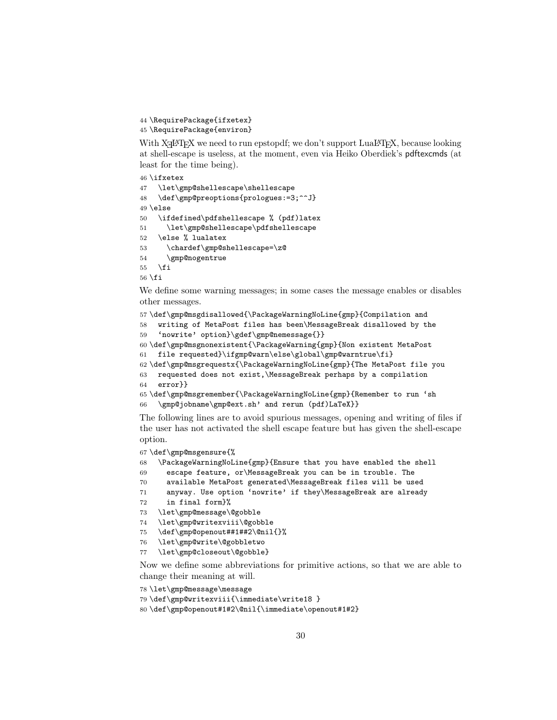```
44 \RequirePackage{ifxetex}
```
\RequirePackage{environ}

With X<sub>E</sub>LAT<sub>E</sub>X we need to run epstopdf; we don't support LuaLAT<sub>E</sub>X, because looking at shell-escape is useless, at the moment, even via Heiko Oberdiek's pdftexcmds (at least for the time being).

```
46 \ifxetex
47 \let\gmp@shellescape\shellescape
48 \def\gmp@preoptions{prologues:=3;^^J}
49 \else
50 \ifdefined\pdfshellescape % (pdf)latex
51 \let\gmp@shellescape\pdfshellescape
52 \else % lualatex
53 \chardef\gmp@shellescape=\z@
54 \gmp@nogentrue
55 \Upsilon56 \fi
```
We define some warning messages; in some cases the message enables or disables other messages.

```
57 \def\gmp@msgdisallowed{\PackageWarningNoLine{gmp}{Compilation and
58 writing of MetaPost files has been\MessageBreak disallowed by the
59 'nowrite' option}\gdef\gmp@nemessage{}}
60 \def\gmp@msgnonexistent{\PackageWarning{gmp}{Non existent MetaPost
61 file requested}\ifgmp@warn\else\global\gmp@warntrue\fi}
62 \def\gmp@msgrequestx{\PackageWarningNoLine{gmp}{The MetaPost file you
63 requested does not exist,\MessageBreak perhaps by a compilation
64 error}}
65 \def\gmp@msgremember{\PackageWarningNoLine{gmp}{Remember to run 'sh
66 \gmp@jobname\gmp@ext.sh' and rerun (pdf)LaTeX}}
```
The following lines are to avoid spurious messages, opening and writing of files if the user has not activated the shell escape feature but has given the shell-escape option.

```
67 \def\gmp@msgensure{%
```

```
68 \PackageWarningNoLine{gmp}{Ensure that you have enabled the shell
```

```
69 escape feature, or\MessageBreak you can be in trouble. The
```

```
70 available MetaPost generated\MessageBreak files will be used
```

```
71 anyway. Use option 'nowrite' if they\MessageBreak are already
```

```
72 in final form}%
```

```
73 \let\gmp@message\@gobble
```

```
74 \let\gmp@writexviii\@gobble
```

```
75 \def\gmp@openout##1##2\@nil{}%
```

```
76 \let\gmp@write\@gobbletwo
```

```
77 \let\gmp@closeout\@gobble}
```
Now we define some abbreviations for primitive actions, so that we are able to change their meaning at will.

```
78 \let\gmp@message\message
79 \def\gmp@writexviii{\immediate\write18 }
```

```
80 \def\gmp@openout#1#2\@nil{\immediate\openout#1#2}
```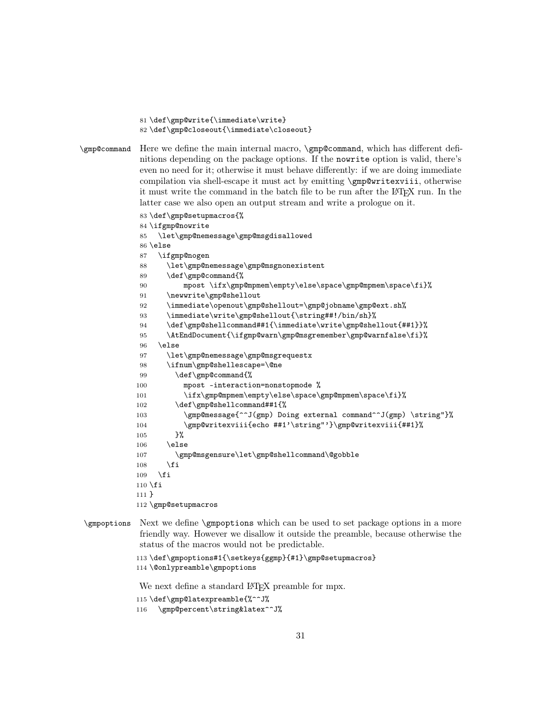```
81 \def\gmp@write{\immediate\write}
```

```
82 \def\gmp@closeout{\immediate\closeout}
```
\gmp@command Here we define the main internal macro, \gmp@command, which has different definitions depending on the package options. If the nowrite option is valid, there's even no need for it; otherwise it must behave differently: if we are doing immediate compilation via shell-escape it must act by emitting \gmp@writexviii, otherwise it must write the command in the batch file to be run after the LATEX run. In the latter case we also open an output stream and write a prologue on it.

```
83 \def\gmp@setupmacros{%
84 \ifgmp@nowrite
85 \let\gmp@nemessage\gmp@msgdisallowed
86 \else
87 \ifgmp@nogen
88 \let\gmp@nemessage\gmp@msgnonexistent
89 \def\gmp@command{%
90 mpost \ifx\gmp@mpmem\empty\else\space\gmp@mpmem\space\fi}%
91 \newwrite\gmp@shellout
92 \immediate\openout\gmp@shellout=\gmp@jobname\gmp@ext.sh%
93 \immediate\write\gmp@shellout{\string##!/bin/sh}%
94 \def\gmp@shellcommand##1{\immediate\write\gmp@shellout{##1}}%
95 \AtEndDocument{\ifgmp@warn\gmp@msgremember\gmp@warnfalse\fi}%
96 \else
97 \let\gmp@nemessage\gmp@msgrequestx
98 \ifnum\gmp@shellescape=\@ne
99 \def\gmp@command{%
100 mpost -interaction=nonstopmode %
101 \ifx\gmp@mpmem\empty\else\space\gmp@mpmem\space\fi}%
102 \def\gmp@shellcommand##1{%
103 \gmp@message{^^J(gmp) Doing external command^^J(gmp) \string"}%
104 \gmp@writexviii{echo ##1'\string"'}\gmp@writexviii{##1}%
105 }%
106 \else
107 \gmp@msgensure\let\gmp@shellcommand\@gobble
108 \fi
109 \foralli
110 \overline{ifi}111 }
112 \gmp@setupmacros
```

```
\gmpoptions Next we define \gmpoptions which can be used to set package options in a more
             friendly way. However we disallow it outside the preamble, because otherwise the
             status of the macros would not be predictable.
```

```
113 \def\gmpoptions#1{\setkeys{ggmp}{#1}\gmp@setupmacros}
114 \@onlypreamble\gmpoptions
```
We next define a standard LAT<sub>EX</sub> preamble for mpx.

```
115 \def\gmp@latexpreamble{%^^J%
```

```
116 \gmp@percent\string&latex^^J%
```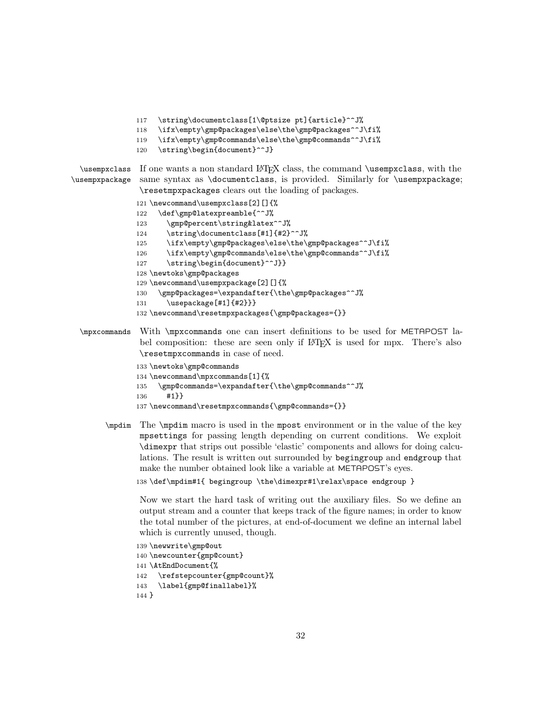- 117 \string\documentclass[1\@ptsize pt]{article}^^J%
- 118 \ifx\empty\gmp@packages\else\the\gmp@packages^^J\fi%
- 119 \ifx\empty\gmp@commands\else\the\gmp@commands^^J\fi%
- 120 \string\begin{document}^^J}

```
\usempxclass
\usempxpackage
              If one wants a non standard LATEX class, the command \usempxclass, with the
               same syntax as \documentclass, is provided. Similarly for \usempxpackage;
                \resetmpxpackages clears out the loading of packages.
```

```
121 \newcommand\usempxclass[2][]{%
122 \def\gmp@latexpreamble{^^J%
123 \gmp@percent\string&latex^^J%
124 \string\documentclass[#1]{#2}^^J%
125 \ifx\empty\gmp@packages\else\the\gmp@packages^^J\fi%
126 \ifx\empty\gmp@commands\else\the\gmp@commands^^J\fi%
127 \string\begin{document}^^J}}
128 \newtoks\gmp@packages
129 \newcommand\usempxpackage[2][]{%
130 \gmp@packages=\expandafter{\the\gmp@packages^^J%
131 \usepackage[#1]{#2}}}
132 \newcommand\resetmpxpackages{\gmp@packages={}}
```
\mpxcommands With \mpxcommands one can insert definitions to be used for METAPOST label composition: these are seen only if LAT<sub>EX</sub> is used for mpx. There's also \resetmpxcommands in case of need.

```
133 \newtoks\gmp@commands
134 \newcommand\mpxcommands[1]{%
135 \gmp@commands=\expandafter{\the\gmp@commands^^J%
136 #1}}
137 \newcommand\resetmpxcommands{\gmp@commands={}}
```
\mpdim The \mpdim macro is used in the mpost environment or in the value of the key mpsettings for passing length depending on current conditions. We exploit \dimexpr that strips out possible 'elastic' components and allows for doing calculations. The result is written out surrounded by begingroup and endgroup that make the number obtained look like a variable at METAPOST's eyes.

138 \def\mpdim#1{ begingroup \the\dimexpr#1\relax\space endgroup }

Now we start the hard task of writing out the auxiliary files. So we define an output stream and a counter that keeps track of the figure names; in order to know the total number of the pictures, at end-of-document we define an internal label which is currently unused, though.

```
139 \newwrite\gmp@out
140 \newcounter{gmp@count}
141 \AtEndDocument{%
142 \refstepcounter{gmp@count}%
143 \label{gmp@finallabel}%
144 }
```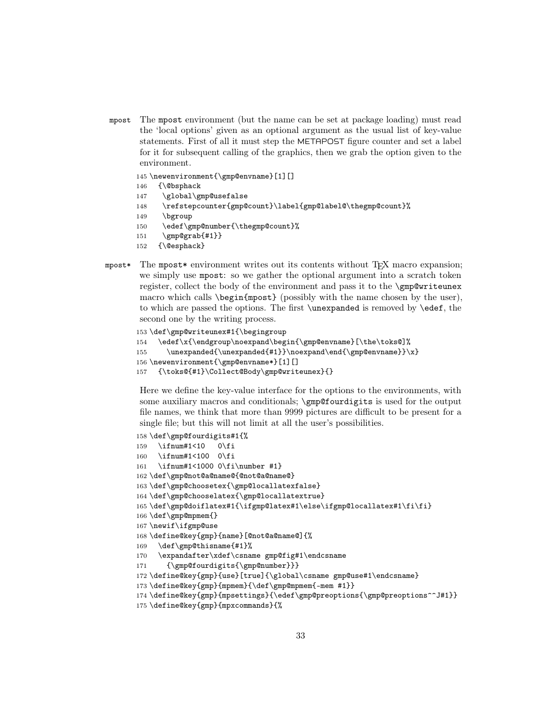mpost The mpost environment (but the name can be set at package loading) must read the 'local options' given as an optional argument as the usual list of key-value statements. First of all it must step the METAPOST figure counter and set a label for it for subsequent calling of the graphics, then we grab the option given to the environment.

145 \newenvironment{\gmp@envname}[1][]

- 146 {\@bsphack
- 147 \global\gmp@usefalse
- 148 \refstepcounter{gmp@count}\label{gmp@label@\thegmp@count}%
- 149 \bgroup
- 150 \edef\gmp@number{\thegmp@count}%
- 151 \gmp@grab{#1}}
- 152 {\@esphack}
- mpost\* The mpost\* environment writes out its contents without TEX macro expansion; we simply use mpost: so we gather the optional argument into a scratch token register, collect the body of the environment and pass it to the \gmp@writeunex macro which calls  $\begin{array}{c}$  (possibly with the name chosen by the user), to which are passed the options. The first \unexpanded is removed by \edef, the second one by the writing process.

```
153 \def\gmp@writeunex#1{\begingroup
154 \edef\x{\endgroup\noexpand\begin{\gmp@envname}[\the\toks@]%
155 \unexpanded{\unexpanded{#1}}\noexpand\end{\gmp@envname}}\x}
156 \newenvironment{\gmp@envname*}[1][]
157 {\toks@{#1}\Collect@Body\gmp@writeunex}{}
```
Here we define the key-value interface for the options to the environments, with some auxiliary macros and conditionals; \gmp@fourdigits is used for the output file names, we think that more than 9999 pictures are difficult to be present for a single file; but this will not limit at all the user's possibilities.

```
158 \def\gmp@fourdigits#1{%
159 \ifnum#1<10 0\fi
160 \ifnum#1<100 0\fi
161 \ifnum#1<1000 0\fi\number #1}
162 \def\gmp@not@a@name@{@not@a@name@}
163 \def\gmp@choosetex{\gmp@locallatexfalse}
164 \def\gmp@chooselatex{\gmp@locallatextrue}
165 \def\gmp@doiflatex#1{\ifgmp@latex#1\else\ifgmp@locallatex#1\fi\fi}
166 \def\gmp@mpmem{}
167 \newif\ifgmp@use
168 \define@key{gmp}{name}[@not@a@name@]{%
169 \def\gmp@thisname{#1}%
170 \expandafter\xdef\csname gmp@fig#1\endcsname
171 {\gmp@fourdigits{\gmp@number}}}
172 \define@key{gmp}{use}[true]{\global\csname gmp@use#1\endcsname}
173 \define@key{gmp}{mpmem}{\def\gmp@mpmem{-mem #1}}
174 \define@key{gmp}{mpsettings}{\edef\gmp@preoptions{\gmp@preoptions^^J#1}}
```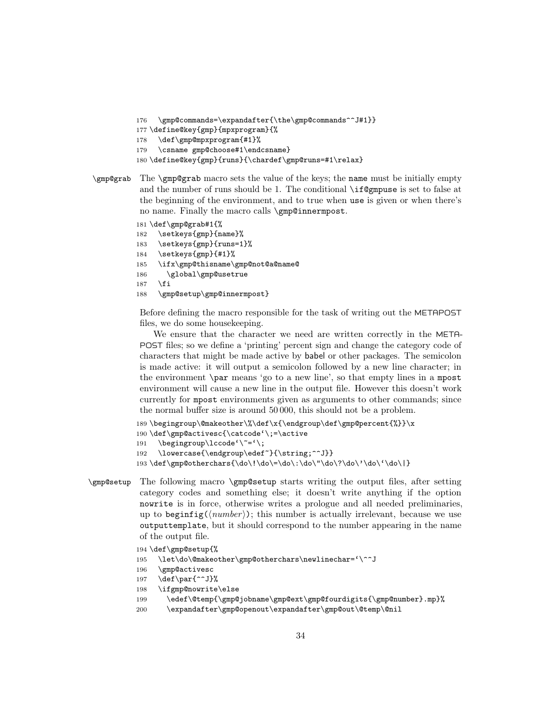```
176 \gmp@commands=\expandafter{\the\gmp@commands^^J#1}}
```

```
177 \define@key{gmp}{mpxprogram}{%
```

```
178 \def\gmp@mpxprogram{#1}%
```

```
179 \csname gmp@choose#1\endcsname}
```

```
180 \define@key{gmp}{runs}{\chardef\gmp@runs=#1\relax}
```

```
\gmp@grab The \gmp@grab macro sets the value of the keys; the name must be initially empty
           and the number of runs should be 1. The conditional \if{\mathbb{Q}m} use is set to false at
           the beginning of the environment, and to true when use is given or when there's
           no name. Finally the macro calls \gmp@innermpost.
```

```
181 \def\gmp@grab#1{%
```

```
182 \setkeys{gmp}{name}%
```

```
183 \setkeys{gmp}{runs=1}%
```

```
184 \setkeys{gmp}{#1}%
```

```
185 \ifx\gmp@thisname\gmp@not@a@name@
```

```
186 \global\gmp@usetrue
```

```
187 \fi
```

```
188 \gmp@setup\gmp@innermpost}
```
Before defining the macro responsible for the task of writing out the METAPOST files, we do some housekeeping.

We ensure that the character we need are written correctly in the META-POST files; so we define a 'printing' percent sign and change the category code of characters that might be made active by babel or other packages. The semicolon is made active: it will output a semicolon followed by a new line character; in the environment \par means 'go to a new line', so that empty lines in a mpost environment will cause a new line in the output file. However this doesn't work currently for mpost environments given as arguments to other commands; since the normal buffer size is around 50 000, this should not be a problem.

```
189 \begingroup\@makeother\%\def\x{\endgroup\def\gmp@percent{%}}\x
190 \def\gmp@activesc{\catcode'\;=\active
191 \begingroup\lccode'\~='\;
192 \lowercase{\endgroup\edef~}{\string;^^J}}
193 \def\gmp@otherchars{\do\!\do\=\do\:\do\"\do\?\do\'\do\'\do\!}
```
\gmp@setup The following macro \gmp@setup starts writing the output files, after setting category codes and something else; it doesn't write anything if the option nowrite is in force, otherwise writes a prologue and all needed preliminaries, up to beginfig( $\langle number \rangle$ ); this number is actually irrelevant, because we use outputtemplate, but it should correspond to the number appearing in the name of the output file.

```
194 \def\gmp@setup{%
```
195 \let\do\@makeother\gmp@otherchars\newlinechar='\^^J

```
196 \gmp@activesc
```

```
197 \def\par{^^J}%
```

```
198 \ifgmp@nowrite\else
```
- 199 \edef\@temp{\gmp@jobname\gmp@ext\gmp@fourdigits{\gmp@number}.mp}%
- 200 \expandafter\gmp@openout\expandafter\gmp@out\@temp\@nil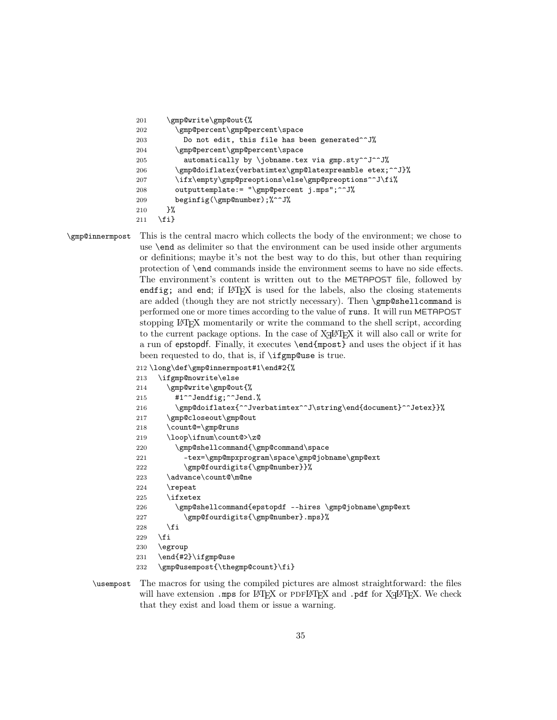```
201 \gmp@write\gmp@out{%
202 \gmp@percent\gmp@percent\space
203 Do not edit, this file has been generated^^J%
204 \gmp@percent\gmp@percent\space
205 automatically by \jobname.tex via gmp.sty^^J^^J%
206 \gmp@doiflatex{verbatimtex\gmp@latexpreamble etex;^^J}%
207 \ifx\empty\gmp@preoptions\else\gmp@preoptions^^J\fi%
208 outputtemplate:= "\gmp@percent j.mps";^^J%
209 beginfig(\gmp@number);%^^J%
210 }%
211 \{f_i\}
```
\gmp@innermpost This is the central macro which collects the body of the environment; we chose to use \end as delimiter so that the environment can be used inside other arguments or definitions; maybe it's not the best way to do this, but other than requiring protection of \end commands inside the environment seems to have no side effects. The environment's content is written out to the METAPOST file, followed by endfig; and end; if LAT<sub>EX</sub> is used for the labels, also the closing statements are added (though they are not strictly necessary). Then \gmp@shellcommand is performed one or more times according to the value of runs. It will run METAPOST stopping LATEX momentarily or write the command to the shell script, according to the current package options. In the case of  $X_{\mathbb{Z}}$   $\mathbb{A}$ T<sub>E</sub>X it will also call or write for a run of epstopdf. Finally, it executes \end{mpost} and uses the object if it has been requested to do, that is, if \ifgmp@use is true.

```
212 \long\def\gmp@innermpost#1\end#2{%
```

```
213 \ifgmp@nowrite\else
214 \gmp@write\gmp@out{%
215 #1^{\sim}Jendfig;^{\sim}Jend.%
216 \gmp@doiflatex{^^Jverbatimtex^^J\string\end{document}^^Jetex}}%
217 \gmp@closeout\gmp@out
218 \count@=\gmp@runs
219 \loop\ifnum\count@>\z@
220 \gmp@shellcommand{\gmp@command\space
221 - tex=\gmp@mpxprogram\space\gmp@jobname\gmp@ext
222 \gmp@fourdigits{\gmp@number}}%
223 \advance\count@\m@ne
224 \repeat
225 \ifxetex
226 \gmp@shellcommand{epstopdf --hires \gmp@jobname\gmp@ext
227 \gmp@fourdigits{\gmp@number}.mps}%
228 \forallfi
229 \ifmmode \overline{1}\else 229 \fi
230 \egroup
231 \end{#2}\ifgmp@use
232 \gmp@usempost{\thegmp@count}\fi}
```
\usempost The macros for using the compiled pictures are almost straightforward: the files will have extension .mps for  $\mathbb{F}$ FEX or PDFL<sup>AT</sup>EX and .pdf for X<sub>H</sub>LATEX. We check that they exist and load them or issue a warning.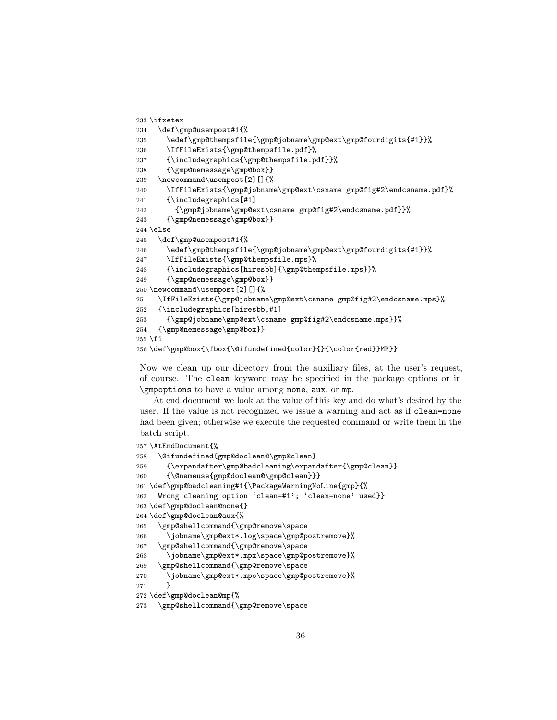```
233 \ifxetex
234 \def\gmp@usempost#1{%
235 \edef\gmp@thempsfile{\gmp@jobname\gmp@ext\gmp@fourdigits{#1}}%
236 \IfFileExists{\gmp@thempsfile.pdf}%
237 {\includegraphics{\gmp@thempsfile.pdf}}%
238 {\gmp@nemessage\gmp@box}}
239 \newcommand\usempost[2][]{%
240 \IfFileExists{\gmp@jobname\gmp@ext\csname gmp@fig#2\endcsname.pdf}%
241 {\includegraphics[#1]
242 {\gmp@jobname\gmp@ext\csname gmp@fig#2\endcsname.pdf}}%
243 {\gmp@nemessage\gmp@box}}
244 \else
245 \def\gmp@usempost#1{%
246 \edef\gmp@thempsfile{\gmp@jobname\gmp@ext\gmp@fourdigits{#1}}%
247 \IfFileExists{\gmp@thempsfile.mps}%
248 {\includegraphics[hiresbb]{\gmp@thempsfile.mps}}%
249 {\gmp@nemessage\gmp@box}}
250 \newcommand\usempost[2][]{%
251 \IfFileExists{\gmp@jobname\gmp@ext\csname gmp@fig#2\endcsname.mps}%
252 {\includegraphics[hiresbb,#1]
253 {\gmp@jobname\gmp@ext\csname gmp@fig#2\endcsname.mps}}%
254 {\gmp@nemessage\gmp@box}}
255 \fi
256 \def\gmp@box{\fbox{\@ifundefined{color}{}{\color{red}}MP}}
```
Now we clean up our directory from the auxiliary files, at the user's request, of course. The clean keyword may be specified in the package options or in \gmpoptions to have a value among none, aux, or mp.

At end document we look at the value of this key and do what's desired by the user. If the value is not recognized we issue a warning and act as if clean=none had been given; otherwise we execute the requested command or write them in the batch script.

\AtEndDocument{%

```
258 \@ifundefined{gmp@doclean@\gmp@clean}
259 {\expandafter\gmp@badcleaning\expandafter{\gmp@clean}}
260 {\@nameuse{gmp@doclean@\gmp@clean}}}
261 \def\gmp@badcleaning#1{\PackageWarningNoLine{gmp}{%
262 Wrong cleaning option 'clean=#1'; 'clean=none' used}}
263 \def\gmp@doclean@none{}
264 \def\gmp@doclean@aux{%
265 \gmp@shellcommand{\gmp@remove\space
266 \jobname\gmp@ext*.log\space\gmp@postremove}%
267 \gmp@shellcommand{\gmp@remove\space
268 \jobname\gmp@ext*.mpx\space\gmp@postremove}%
269 \gmp@shellcommand{\gmp@remove\space
270 \jobname\gmp@ext*.mpo\space\gmp@postremove}%
271 }
272 \def\gmp@doclean@mp{%
273 \gmp@shellcommand{\gmp@remove\space
```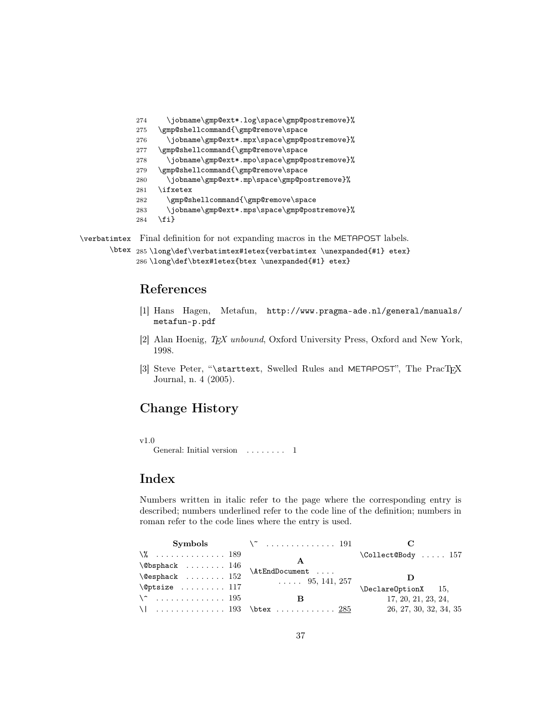```
274 \jobname\gmp@ext*.log\space\gmp@postremove}%
275 \gmp@shellcommand{\gmp@remove\space
276 \jobname\gmp@ext*.mpx\space\gmp@postremove}%
277 \gmp@shellcommand{\gmp@remove\space
278 \jobname\gmp@ext*.mpo\space\gmp@postremove}%
279 \gmp@shellcommand{\gmp@remove\space
280 \jobname\gmp@ext*.mp\space\gmp@postremove}%
281 \ifxetex
282 \gmp@shellcommand{\gmp@remove\space
283 \jobname\gmp@ext*.mps\space\gmp@postremove}%
284 \fi}
```
\verbatimtex Final definition for not expanding macros in the METAPOST labels.

```
\btex
285 \long\def\verbatimtex#1etex{verbatimtex \unexpanded{#1} etex}
     286 \long\def\btex#1etex{btex \unexpanded{#1} etex}
```
## References

- [1] Hans Hagen, Metafun, http://www.pragma-ade.nl/general/manuals/ metafun-p.pdf
- [2] Alan Hoenig, TEX unbound, Oxford University Press, Oxford and New York, 1998.
- [3] Steve Peter, "\starttext, Swelled Rules and METAPOST", The PracT<sub>EX</sub> Journal, n. 4 (2005).

## Change History

v1.0

General: Initial version . . . . . . . . 1

## Index

Numbers written in italic refer to the page where the corresponding entry is described; numbers underlined refer to the code line of the definition; numbers in roman refer to the code lines where the entry is used.

|                                           | Symbols $\qquad \qquad \setminus \qquad \ldots \ldots \ldots \quad 191$ |                                 |
|-------------------------------------------|-------------------------------------------------------------------------|---------------------------------|
| $\sqrt{2}$ 189                            |                                                                         | $\text{Collect@Body} \dots 157$ |
| $\backslash$ @bsphack  146                |                                                                         |                                 |
| $\text{Qesphack} \dots \dots \dots \ 152$ | \AtEndDocument<br>$\ldots$ 95, 141, 257                                 |                                 |
| $\Diamond$ gptsize  117                   |                                                                         | $\Delta$ PeclareOptionX 15,     |
| $\setminus$ 195                           |                                                                         | 17, 20, 21, 23, 24,             |
|                                           | \   193 \btex <u>285</u>                                                | 26, 27, 30, 32, 34, 35          |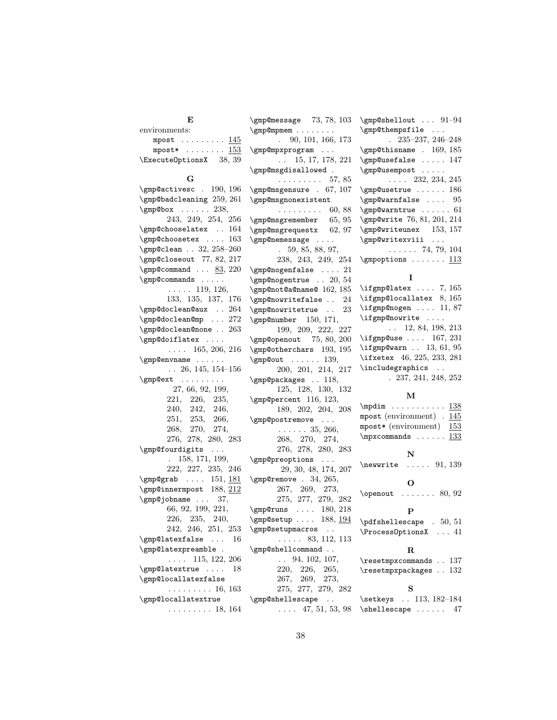| Е                                                     | $\gtrsim 73, 78, 103$                        | $\qquad$ \gmp@shellout $91-94$                                                                                                                                                                                                |
|-------------------------------------------------------|----------------------------------------------|-------------------------------------------------------------------------------------------------------------------------------------------------------------------------------------------------------------------------------|
| environments:                                         |                                              | \gmp@thempsfile                                                                                                                                                                                                               |
| mpost $\ldots \ldots \ldots 145$                      | 90, 101, 166, 173<br>$\mathbf{r}$            | $. \ \ 235-237, 246-248$                                                                                                                                                                                                      |
| mpost* $\ldots \ldots \ldots \frac{153}{2}$           | \gmp@mpxprogram                              | \gmp@thisname . 169, 185                                                                                                                                                                                                      |
| \ExecuteOptionsX 38, 39                               | $\ldots$ 15, 17, 178, 221                    | \gmp@usefalse  147                                                                                                                                                                                                            |
|                                                       | \gmp@msgdisallowed .                         | \gmp@usempost                                                                                                                                                                                                                 |
| G                                                     | . 57, 85                                     | $\ldots$ 232, 234, 245                                                                                                                                                                                                        |
| \gmp@activesc . 190, 196                              | $\gtrsim 67, 107$                            | $\qquad$ 186                                                                                                                                                                                                                  |
| \gmp@badcleaning 259, 261                             | \gmp@msgnonexistent                          | $\qquad$ Warnfalse  95                                                                                                                                                                                                        |
| $\qquad$ 238,                                         | $\ldots \ldots \ldots 60, 88$                | $\qquad$ 61                                                                                                                                                                                                                   |
| 243, 249, 254, 256                                    | \gmp@msgremember 65,95                       | \gmp@write 76, 81, 201, 214                                                                                                                                                                                                   |
| \gmp@chooselatex . 164                                | \gmp@msgrequestx 62,97                       | $\qquad$ 153, 157                                                                                                                                                                                                             |
| \gmp@choosetex  163                                   | \gmp@nemessage                               | \gmp@writexviii                                                                                                                                                                                                               |
| \gmp@clean . 32, 258-260                              | .59, 85, 88, 97,                             | $\ldots$ . 74, 79, 104                                                                                                                                                                                                        |
| \gmp@closeout 77, 82, 217                             | 238, 243, 249, 254                           | $\qquad$ $113$                                                                                                                                                                                                                |
| \gmp@command $83, 220$                                | $\verb \gmp@nogenfalse      21$              |                                                                                                                                                                                                                               |
| $\qquad$                                              | \gmp@nogentrue  20, 54                       | Ι.                                                                                                                                                                                                                            |
| $\ldots$ 119, 126,                                    | $\gtrsim 162, 185$                           | $\left\{ \right. \left\{ \right. \left. \right. \left. \right. \left. \right. \left. \right. \left. \right. \left. \right. \left. \right. \left. \right. \left. \right. \left. \right. \left. \right. \left. \right. \right.$ |
| 133, 135, 137, 176                                    | \gmp@nowritefalse<br>24                      | \ifgmp@locallatex 8, 165                                                                                                                                                                                                      |
| \gmp@doclean@aux  264                                 | \gmp@nowritetrue<br>23                       | $\if{gmp@nogen  11, 87}$                                                                                                                                                                                                      |
| \gmp@doclean@mp  272                                  | \gmp@number 150, 171,                        | \ifgmp@nowrite                                                                                                                                                                                                                |
| \gmp@doclean@none  263                                | 199, 209, 222, 227                           | $\ldots$ 12, 84, 198, 213                                                                                                                                                                                                     |
| \gmp@doiflatex                                        | \gmp@openout 75, 80, 200                     | $\left\{ \right. \left. 167,231 \right\}$                                                                                                                                                                                     |
| $\ldots$ 165, 206, 216                                | \gmp@otherchars 193, 195                     | $\rightarrow$ 01, 95                                                                                                                                                                                                          |
| \gmp@envname                                          | $\qquad$ 139,                                | \ifxetex 46, 225, 233, 281                                                                                                                                                                                                    |
| $\ldots$ 26, 145, 154–156                             | 200, 201, 214, 217                           | \includegraphics                                                                                                                                                                                                              |
| \gmp@ext                                              | \gmp@packages . 118,                         | . 237, 241, 248, 252                                                                                                                                                                                                          |
| 27, 66, 92, 199,                                      | 125, 128, 130, 132                           | М                                                                                                                                                                                                                             |
| 221, 226, 235,                                        | \gmp@percent 116, 123,                       | $\text{Im} \ldots \ldots \frac{138}{138}$                                                                                                                                                                                     |
| 240, 242, 246,                                        | 189, 202, 204, 208                           | mpost (environment) $.145$                                                                                                                                                                                                    |
| 251, 253, 266,                                        | \gmp@postremove                              | mpost* (environment)<br>153                                                                                                                                                                                                   |
| 268, 270, 274,                                        | $\ldots \ldots 35, 266,$                     | $\mbox{supxcommands} \ldots \ldots \frac{133}{133}$                                                                                                                                                                           |
| 276, 278, 280, 283                                    | 268, 270, 274,                               |                                                                                                                                                                                                                               |
| \gmp@fourdigits<br>$\sim 100$ km s $^{-1}$            | 276, 278, 280, 283                           | N                                                                                                                                                                                                                             |
| . 158, 171, 199,                                      | \gmp@preoptions                              | $\text{newwrite} \dots 91, 139$                                                                                                                                                                                               |
| 222, 227, 235, 246                                    | 29, 30, 48, 174, 207                         |                                                                                                                                                                                                                               |
| $\gtrsim 151, 181$                                    | $\qquad$ . 34, 265,                          | O                                                                                                                                                                                                                             |
| \gmp@innermpost 188, 212                              | 267, 269,<br>273,                            | $\operatorname{openout} \dots \dots \otimes 80, 92$                                                                                                                                                                           |
| $\qquad$ 37,                                          | 275, 277, 279, 282                           |                                                                                                                                                                                                                               |
| 66, 92, 199, 221,                                     | $\qquad \ldots 180, 218$                     | P                                                                                                                                                                                                                             |
| 226, 235, 240,<br>242, 246, 251, 253                  | \gmp@setup  188, $194$                       | $\Phi$ . 50, 51                                                                                                                                                                                                               |
| $\gtrsim 0$ atexfalse<br>16                           | \gmp@setupmacros                             | \Process0ptionsX  41                                                                                                                                                                                                          |
|                                                       | $\ldots$ 83, 112, 113                        |                                                                                                                                                                                                                               |
| \gmp@latexpreamble .<br>$\ldots$ 115, 122, 206        | \gmp@shellcommand                            | $\mathbf R$                                                                                                                                                                                                                   |
|                                                       | 94, 102, 107,<br>$\ddotsc$<br>220, 226, 265, | \resetmpxcommands 137                                                                                                                                                                                                         |
| \gmp@latextrue<br>18<br>$\verb \gmp@locallatexfalse $ | 267, 269, 273,                               | $\text{resetmpxpackages} \dots 132$                                                                                                                                                                                           |
| $\cdots \cdots \cdots 16, 163$                        | 275, 277, 279, 282                           | S                                                                                                                                                                                                                             |
| \gmp@locallatextrue                                   | \gmp@shellescape                             | \setkeys  113, 182-184                                                                                                                                                                                                        |
| $\ldots \ldots \ldots 18, 164$                        | $\ldots$ 47, 51, 53, 98                      | $\hbox{\scriptsize\textsf{shell}}$ escape  47                                                                                                                                                                                 |
|                                                       |                                              |                                                                                                                                                                                                                               |